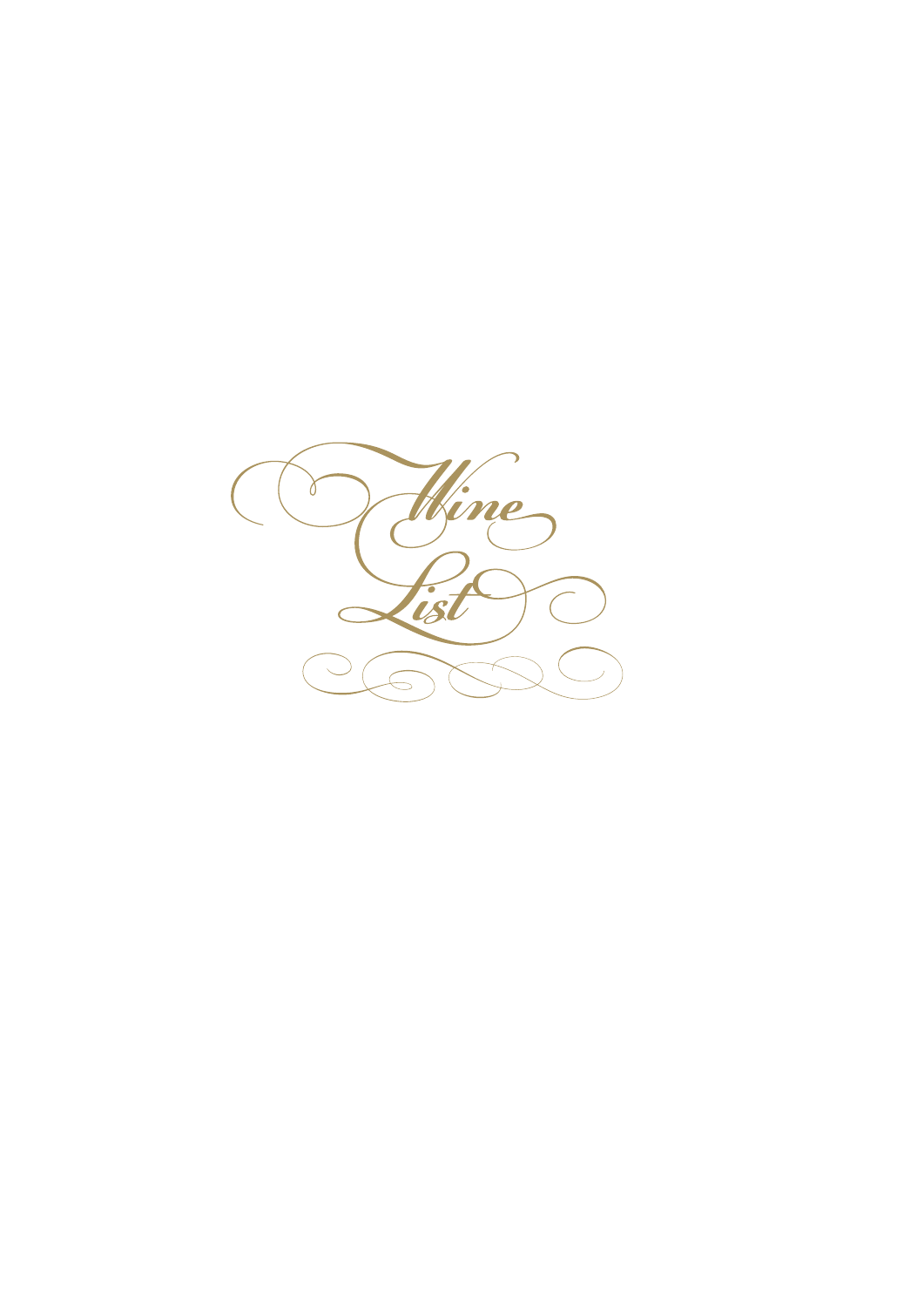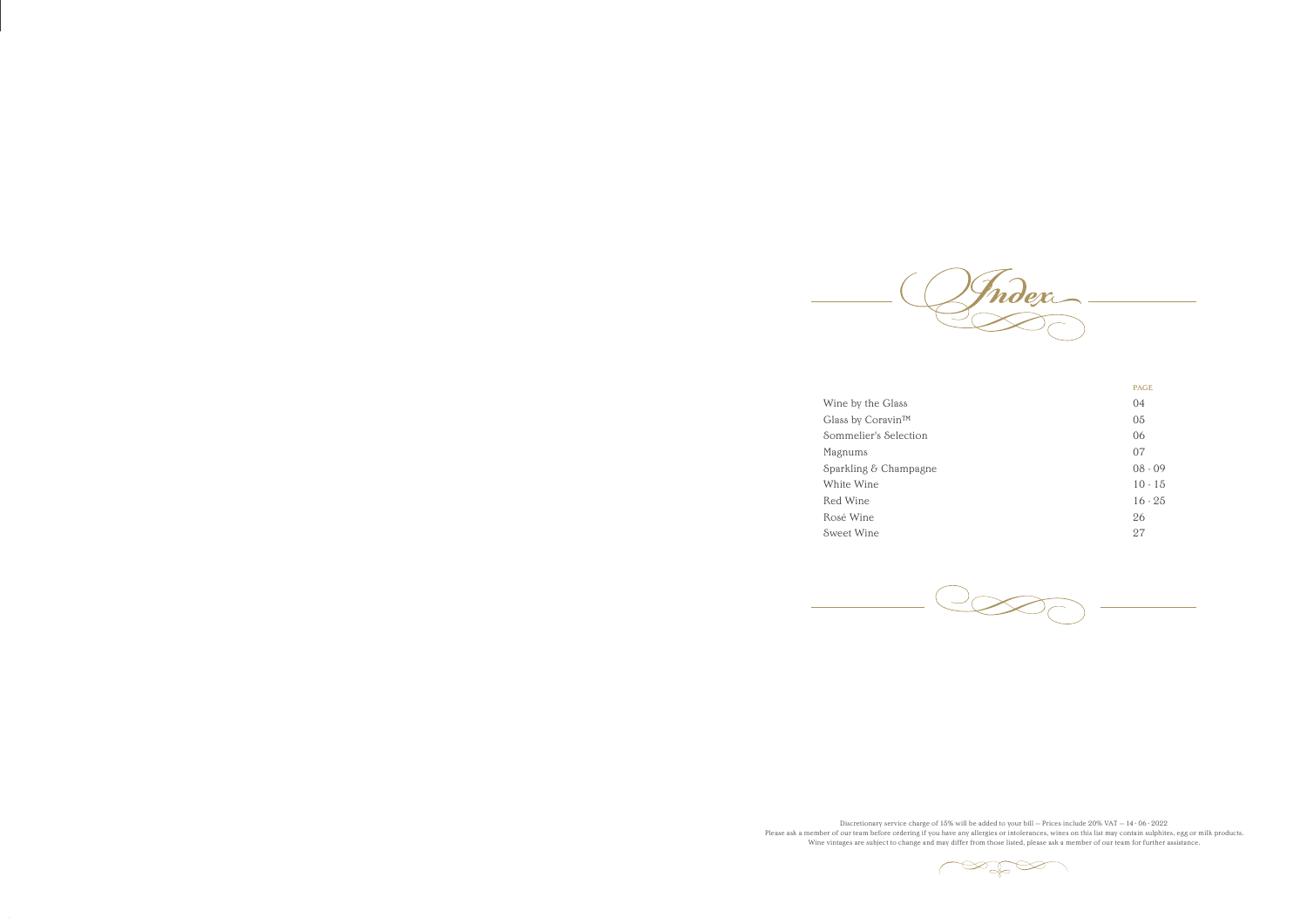

Wine by the Glass Glass by Coravin™ Sommelier's Selection Magnums Sparkling & Champagne White Wine Red Wine Rosé Wine Sweet Wine





Discretionary service charge of 15% will be added to your bill - Prices include 20% VAT  $-$  14 · 06 · 2022 Please ask a member of our team before ordering if you have any allergies or intolerances, wines on this list may contain sulphites, egg or milk products. Wine vintages are subject to change and may differ from those listed, please ask a member of our team for further assistance.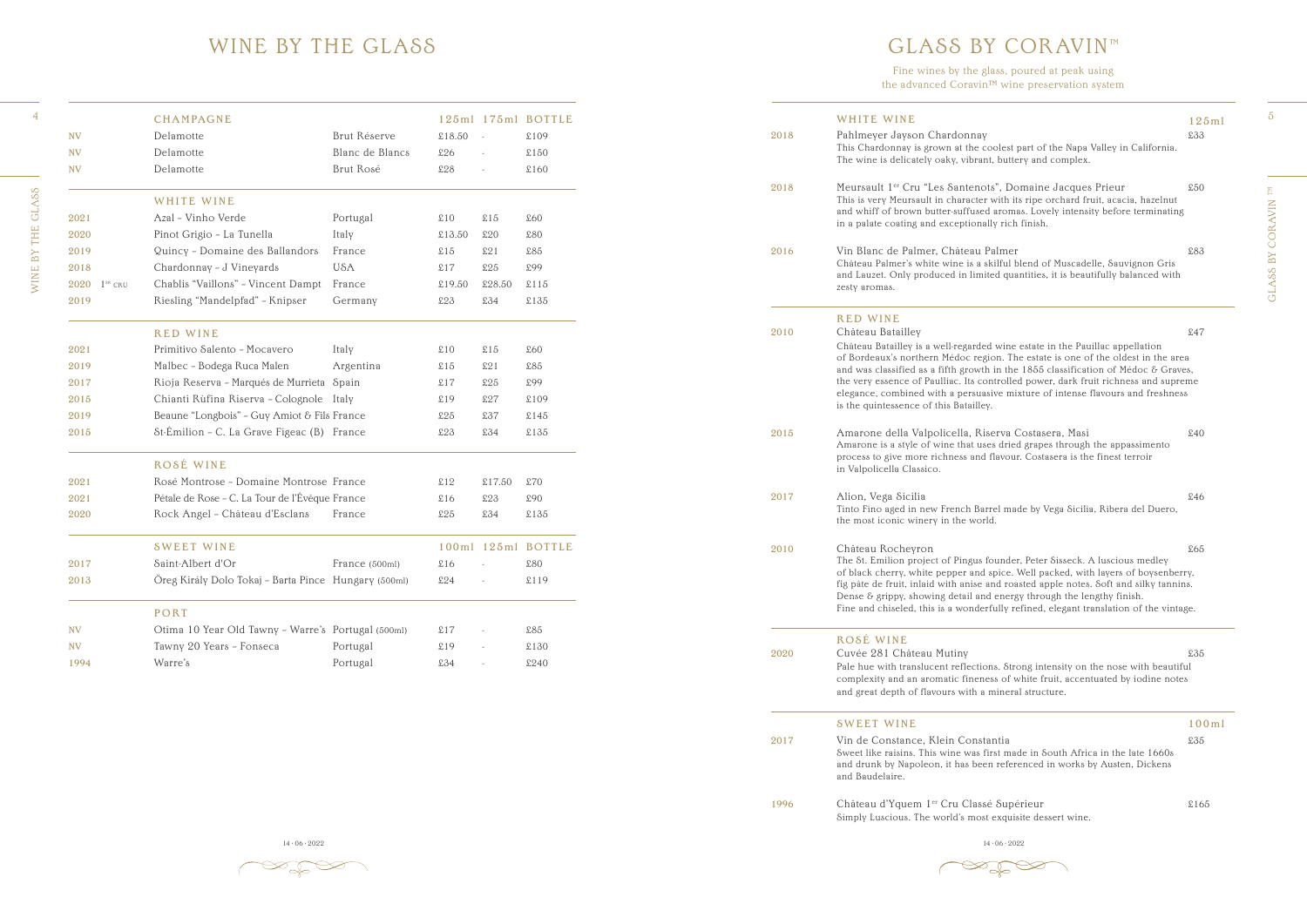WINE BY THE GLASS WINE BY THE GLASS

14 · 06 · 2022 14 · 06 · 2022 14 · 06 · 2022 14 · 06 · 2022 14 · 06 · 2022 14 · 06 · 2022 14 · 06 · 2022 14 · 06 · 2022 14 · 06 · 2022 14 · 06 · 2022 14 · 06 · 2022 14 · 06 · 2022 14 · 06 · 2022 14 · 06 · 2022 14 · 06 · 20

 $\mathbb{Z}$ 

#### GLASS BY CORAVIN™

|      | WHITE WINE                                                                                                                                                                                                                                                                                                                                                                                                                  | 125m1 |
|------|-----------------------------------------------------------------------------------------------------------------------------------------------------------------------------------------------------------------------------------------------------------------------------------------------------------------------------------------------------------------------------------------------------------------------------|-------|
| 2018 | Pahlmeyer Jayson Chardonnay<br>This Chardonnay is grown at the coolest part of the Napa Valley in California.<br>The wine is delicately oaky, vibrant, buttery and complex.                                                                                                                                                                                                                                                 | £33   |
| 2018 | Meursault 1 <sup>er</sup> Cru "Les Santenots", Domaine Jacques Prieur<br>This is very Meursault in character with its ripe orchard fruit, acacia, hazelnut<br>and whiff of brown butter-suffused aromas. Lovely intensity before terminating<br>in a palate coating and exceptionally rich finish.                                                                                                                          | \$50  |
| 2016 | Vin Blanc de Palmer, Château Palmer<br>Château Palmer's white wine is a skilful blend of Muscadelle, Sauvignon Gris<br>and Lauzet. Only produced in limited quantities, it is beautifully balanced with<br>zesty aromas.                                                                                                                                                                                                    | £83   |
|      | <b>RED WINE</b>                                                                                                                                                                                                                                                                                                                                                                                                             |       |
| 2010 | Château Batailley<br>Château Batailley is a well-regarded wine estate in the Pauillac appellation                                                                                                                                                                                                                                                                                                                           | \$47  |
|      | of Bordeaux's northern Médoc region. The estate is one of the oldest in the area<br>and was classified as a fifth growth in the $1855$ classification of Médoc & Graves,<br>the very essence of Paulliac. Its controlled power, dark fruit richness and supreme<br>elegance, combined with a persuasive mixture of intense flavours and freshness<br>is the quintessence of this Batailley.                                 |       |
| 2015 | Amarone della Valpolicella, Riserva Costasera, Masi<br>Amarone is a style of wine that uses dried grapes through the appassimento<br>process to give more richness and flavour. Costasera is the finest terroir<br>in Valpolicella Classico.                                                                                                                                                                                | \$40  |
| 2017 | Alion, Vega Sicilia<br>Tinto Fino aged in new French Barrel made by Vega Sicilia, Ribera del Duero,<br>the most iconic winery in the world.                                                                                                                                                                                                                                                                                 | £46   |
| 2010 | Château Rocheyron                                                                                                                                                                                                                                                                                                                                                                                                           | £65   |
|      | The St. Emilion project of Pingus founder, Peter Sisseck. A luscious medley<br>of black cherry, white pepper and spice. Well packed, with layers of boysenberry,<br>fig pâte de fruit, inlaid with anise and roasted apple notes. Soft and silky tannins.<br>Dense & grippy, showing detail and energy through the lengthy finish.<br>Fine and chiseled, this is a wonderfully refined, elegant translation of the vintage. |       |
|      | ROSÉ WINE                                                                                                                                                                                                                                                                                                                                                                                                                   |       |
| 2020 | Cuvée 281 Château Mutiny                                                                                                                                                                                                                                                                                                                                                                                                    | £35   |
|      | Pale hue with translucent reflections. Strong intensity on the nose with beautiful<br>complexity and an aromatic fineness of white fruit, accentuated by iodine notes<br>and great depth of flavours with a mineral structure.                                                                                                                                                                                              |       |
|      | <b>SWEET WINE</b>                                                                                                                                                                                                                                                                                                                                                                                                           | 100m1 |
| 2017 | Vin de Constance, Klein Constantia<br>Sweet like raisins. This wine was first made in South Africa in the late 1660s<br>and drunk by Napoleon, it has been referenced in works by Austen, Dickens<br>and Baudelaire.                                                                                                                                                                                                        | £35   |
|      |                                                                                                                                                                                                                                                                                                                                                                                                                             |       |

 $\mathscr{D}_{\mathscr{A}}$ 

GLASS BY CORAVIN $^{\rm TM}$ GLASS BY CORAVIN TM

4

5

Fine wines by the glass, poured at peak using the advanced Coravin™ wine preservation system

#### WINE BY THE GLASS

|              | <b>CHAMPAGNE</b>                                     |                 |        |        | 125ml 175ml BOTTLE |
|--------------|------------------------------------------------------|-----------------|--------|--------|--------------------|
| <b>NV</b>    | Delamotte                                            | Brut Réserve    | £18.50 |        | \$109              |
| <b>NV</b>    | Delamotte                                            | Blanc de Blancs | £26    |        | £150               |
| <b>NV</b>    | Delamotte                                            | Brut Rosé       | £28    |        | \$160              |
|              | WHITE WINE                                           |                 |        |        |                    |
| 2021         | Azal - Vinho Verde                                   | Portugal        | \$10   | \$15   | \$60               |
| 2020         | Pinot Grigio - La Tunella                            | Italy           | £13.50 | £20    | £80                |
| 2019         | Quincy - Domaine des Ballandors                      | France          | \$15   | £21    | £85                |
| 2018         | Chardonnay - J Vineyards                             | <b>USA</b>      | \$17   | \$25   | £99                |
| 2020 1ER CRU | Chablis "Vaillons" - Vincent Dampt                   | France          | £19.50 | £28.50 | \$115              |
| 2019         | Riesling "Mandelpfad" - Knipser                      | Germany         | £23    | £34    | £135               |
|              | <b>RED WINE</b>                                      |                 |        |        |                    |
| 2021         | Primitivo Salento - Mocavero                         | Italy           | \$10   | \$15   | \$60               |
| 2019         | Malbec - Bodega Ruca Malen                           | Argentina       | \$15   | £21    | £85                |
| 2017         | Rioja Reserva - Marqués de Murrieta Spain            |                 | \$17   | £25    | £99                |
| 2015         | Chianti Rùfina Riserva - Colognole Italy             |                 | \$19   | \$27   | \$109              |
| 2019         | Beaune "Longbois" - Guy Amiot & Fils France          |                 | £25    | £37    | \$145              |
| 2015         | St-Émilion - C. La Grave Figeac (B) France           |                 | £23    | £34    | £135               |
|              | ROSÉ WINE                                            |                 |        |        |                    |
| 2021         | Rosé Montrose - Domaine Montrose France              |                 | \$12   | £17.50 | £70                |
| 2021         | Pétale de Rose - C. La Tour de l'Évêque France       |                 | \$16   | £23    | £90                |
| 2020         | Rock Angel - Château d'Esclans                       | France          | £25    | £34    | £135               |
|              | <b>SWEET WINE</b>                                    |                 |        |        | 100ml 125ml BOTTLE |
| 2017         | Saint-Albert d'Or                                    | France (500ml)  | \$16   |        | £80                |
| 2013         | Oreg Király Dolo Tokaj - Barta Pince Hungary (500ml) |                 | £24    |        | £119               |
|              | PORT                                                 |                 |        |        |                    |
| <b>NV</b>    | Otima 10 Year Old Tawny - Warre's Portugal (500ml)   |                 | \$17   |        | $$85$              |
| <b>NV</b>    | Tawny 20 Years - Fonseca                             | Portugal        | \$19   |        | £130               |
| 1994         | Warre's                                              | Portugal        | £34    |        | £240               |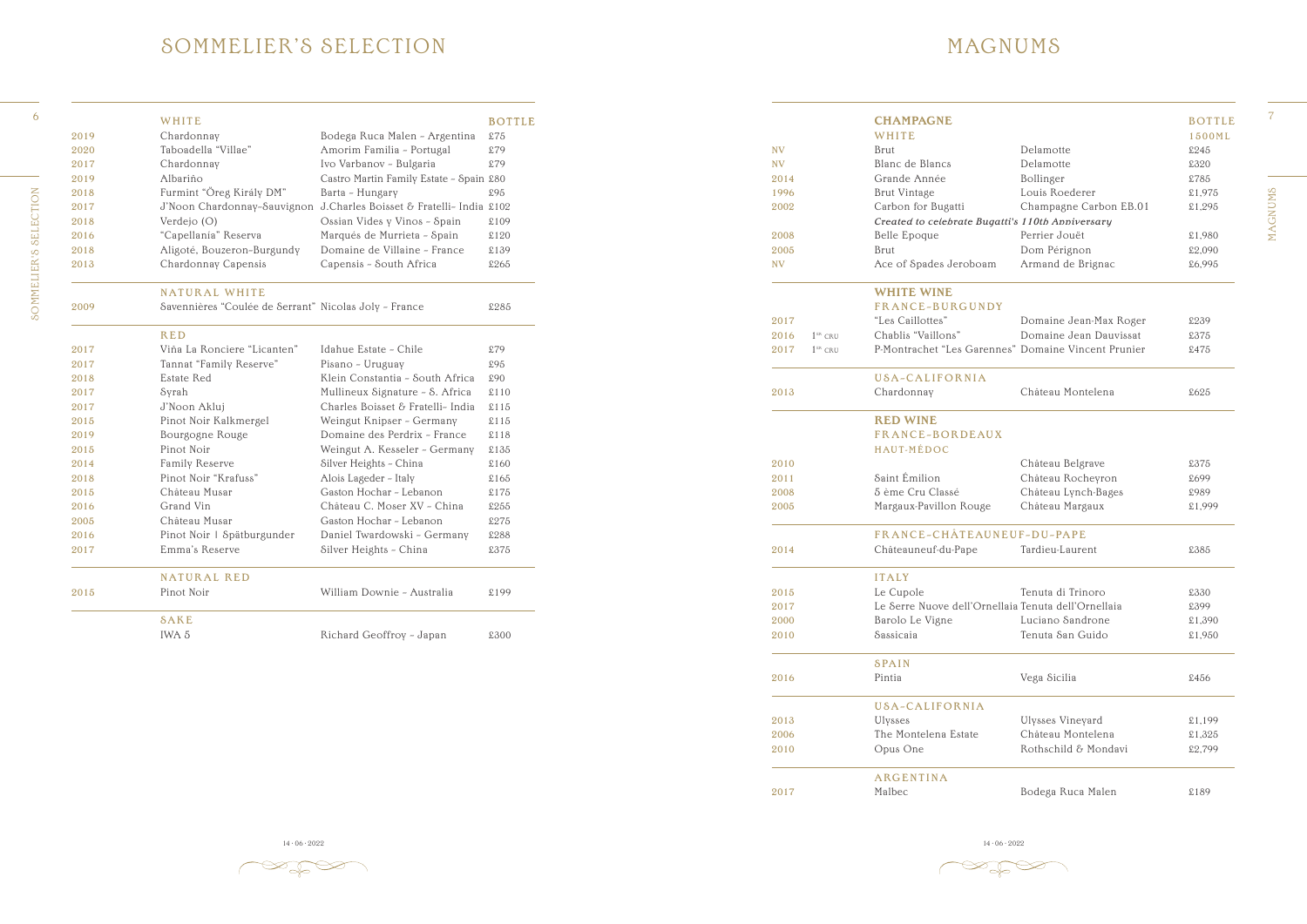MAGNUMS

**MAGNUMS** 

 $\gg \gg \approx$ 

#### SOMMELIER 'S SELECTION

 $6<sup>6</sup>$ **SOMMELIER'S SELECTION** SOMMELIER'S SELECTION

|      | WHITE                                                 |                                          | <b>BOTTLE</b> |
|------|-------------------------------------------------------|------------------------------------------|---------------|
| 2019 | Chardonnay                                            | Bodega Ruca Malen - Argentina            | £75           |
| 2020 | Taboadella "Villae"                                   | Amorim Familia - Portugal                | £79           |
| 2017 | Chardonnay                                            | Ivo Varbanov - Bulgaria                  | £79           |
| 2019 | Albariño                                              | Castro Martin Family Estate - Spain £80  |               |
| 2018 | Furmint "Öreg Király DM"                              | Barta - Hungary                          | £95           |
| 2017 | J'Noon Chardonnay-Sauvignon                           | J.Charles Boisset & Fratelli- India £102 |               |
| 2018 | Verdejo (O)                                           | Ossian Vides y Vinos - Spain             | £109          |
| 2016 | "Capellanía" Reserva                                  | Marqués de Murrieta - Spain              | £120          |
| 2018 | Aligoté, Bouzeron-Burgundy                            | Domaine de Villaine - France             | £139          |
| 2013 | Chardonnay Capensis                                   | Capensis - South Africa                  | £265          |
|      | <b>NATURAL WHITE</b>                                  |                                          |               |
| 2009 | Savennières "Coulée de Serrant" Nicolas Joly - France |                                          | £285          |
|      | <b>RED</b>                                            |                                          |               |
| 2017 | Viña La Ronciere "Licanten"                           | Idahue Estate - Chile                    | £79           |
| 2017 | Tannat "Family Reserve"                               | Pisano - Uruguay                         | £95           |
| 2018 | <b>Estate Red</b>                                     | Klein Constantia - South Africa          | £90           |
| 2017 | Syrah                                                 | Mullineux Signature - S. Africa          | \$110         |
| 2017 | J'Noon Akluj                                          | Charles Boisset & Fratelli- India        | \$115         |
| 2015 | Pinot Noir Kalkmergel                                 | Weingut Knipser - Germany                | \$115         |
| 2019 | Bourgogne Rouge                                       | Domaine des Perdrix - France             | £118          |
| 2015 | Pinot Noir                                            | Weingut A. Kesseler - Germany            | £135          |
| 2014 | Family Reserve                                        | Silver Heights - China                   | £160          |
| 2018 | Pinot Noir "Krafuss"                                  | Alois Lageder - Italy                    | £165          |
| 2015 | Château Musar                                         | Gaston Hochar - Lebanon                  | £175          |
| 2016 | Grand Vin                                             | Château C. Moser XV - China              | £255          |
| 2005 | Château Musar                                         | Gaston Hochar - Lebanon                  | £275          |
| 2016 | Pinot Noir   Spätburgunder                            | Daniel Twardowski - Germany              | £288          |
| 2017 | Emma's Reserve                                        | Silver Heights - China                   | £375          |
|      | <b>NATURAL RED</b>                                    |                                          |               |
| 2015 | Pinot Noir                                            | William Downie - Australia               | £199          |
|      | SAKE                                                  |                                          |               |
|      | IWA 5                                                 | Richard Geoffroy - Japan                 | £300          |

|                   | <b>CHAMPAGNE</b>                                                       |                        | <b>BOTTLE</b> |
|-------------------|------------------------------------------------------------------------|------------------------|---------------|
|                   | WHITE                                                                  |                        | 1500ML        |
| <b>NV</b>         | Brut                                                                   | Delamotte              | £245          |
| <b>NV</b>         | Blanc de Blancs                                                        | Delamotte              | £320          |
| 2014              | Grande Année                                                           | Bollinger              | £785          |
| 1996              | <b>Brut Vintage</b>                                                    | Louis Roederer         | £1,975        |
| 2002              | Carbon for Bugatti<br>Created to celebrate Bugatti's 110th Anniversary | Champagne Carbon EB.01 | £1,295        |
| 2008              | Belle Epoque                                                           | Perrier Jouët          | £1,980        |
| 2005              | <b>Brut</b>                                                            | Dom Pérignon           | £2,090        |
| <b>NV</b>         | Ace of Spades Jeroboam                                                 | Armand de Brignac      | £6,995        |
|                   | <b>WHITE WINE</b>                                                      |                        |               |
|                   | FRANCE-BURGUNDY                                                        |                        |               |
| 2017              | "Les Caillottes"                                                       | Domaine Jean-Max Roger | £239          |
| 2016<br>$1ER$ CRU | Chablis "Vaillons"                                                     | Domaine Jean Dauvissat | £375          |
| 2017<br>$1ER$ CRU | P-Montrachet "Les Garennes" Domaine Vincent Prunier                    |                        | £475          |
|                   | USA-CALIFORNIA                                                         |                        |               |
| 2013              | Chardonnay                                                             | Château Montelena      | £625          |
|                   | <b>RED WINE</b>                                                        |                        |               |
|                   | <b>FRANCE-BORDEAUX</b>                                                 |                        |               |
|                   | HAUT-MÉDOC                                                             |                        |               |
| 2010              |                                                                        | Château Belgrave       | £375          |
| 2011              | Saint Émilion                                                          | Château Rocheyron      | £699          |
| 2008              | 5 ème Cru Classé                                                       | Château Lynch-Bages    | £989          |
| 2005              | Margaux-Pavillon Rouge                                                 | Château Margaux        | £1,999        |
|                   | FRANCE-CHÂTEAUNEUF-DU-PAPE                                             |                        |               |
| 2014              | Châteauneuf-du-Pape                                                    | Tardieu-Laurent        | £385          |
|                   | <b>ITALY</b>                                                           |                        |               |
| 2015              | Le Cupole                                                              | Tenuta di Trinoro      | £330          |
| 2017              | Le Serre Nuove dell'Ornellaia Tenuta dell'Ornellaia                    |                        | £399          |
| 2000              | Barolo Le Vigne                                                        | Luciano Sandrone       | £1,390        |
| 2010              | Sassicaia                                                              | Tenuta San Guido       | £1,950        |
|                   | <b>SPAIN</b>                                                           |                        |               |
| 2016              | Pintia                                                                 | Vega Sicilia           | £456          |
|                   | USA-CALIFORNIA                                                         |                        |               |
| 2013              | Ulysses                                                                | Ulysses Vineyard       | \$1,199       |
| 2006              | The Montelena Estate                                                   | Château Montelena      | £1,325        |
| 2010              | Opus One                                                               | Rothschild & Mondavi   | £2,799        |
|                   | ARGENTINA                                                              |                        |               |
| 2017              | Malbec                                                                 | Bodega Ruca Malen      | £189          |

14 · 06 · 2022 14 · 06 · 2022 14 · 06 · 2022 14 · 06 · 2022 14 · 06 · 2022 14 · 06 · 2022 14 · 06 · 2022 14 · 06 · 2022 14 · 06 · 2022 14 · 06 · 2022 14 · 06 · 2022 14 · 06 · 2022 14 · 06 · 2022 14 · 06 · 2022 14 · 06 · 20

 $\mathbb{Z}^{\infty}$ 

#### MAGNUMS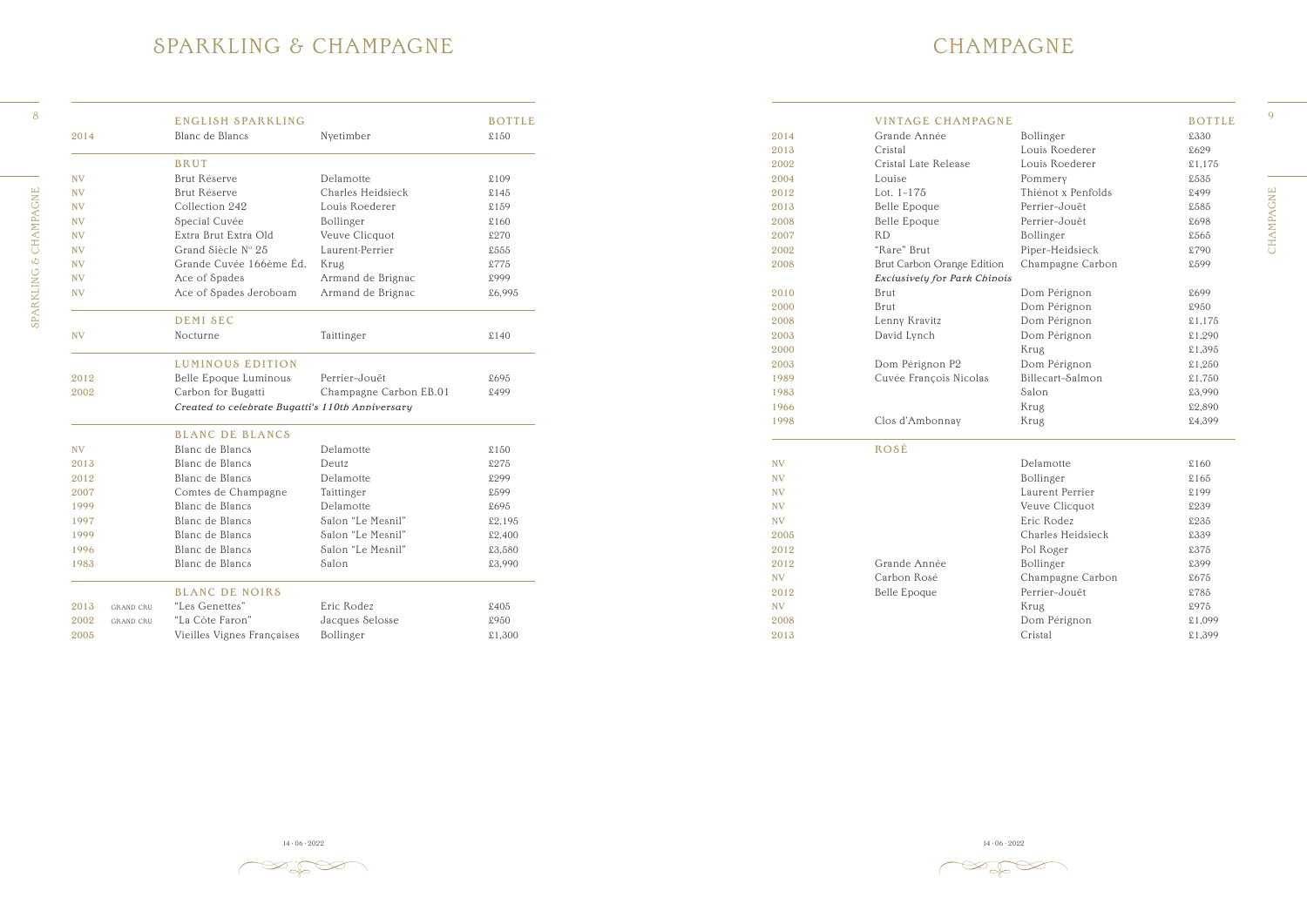CHAMPAGNE CHAMPAGNE



### MPAGNE

|           | <b>VINTAGE CHAMPAGNE</b>     |                    | <b>BOTTLE</b> |
|-----------|------------------------------|--------------------|---------------|
| 2014      | Grande Année                 | Bollinger          | £330          |
| 2013      | Cristal                      | Louis Roederer     | £629          |
| 2002      | Cristal Late Release         | Louis Roederer     | £1,175        |
| 2004      | Louise                       | Pommery            | £535          |
| 2012      | Lot. $1-175$                 | Thiénot x Penfolds | £499          |
| 2013      | Belle Epoque                 | Perrier-Jouët      | £585          |
| 2008      | Belle Epoque                 | Perrier-Jouët      | £698          |
| 2007      | <b>RD</b>                    | Bollinger          | £565          |
| 2002      | "Rare" Brut                  | Piper-Heidsieck    | £790          |
| 2008      | Brut Carbon Orange Edition   | Champagne Carbon   | £599          |
|           | Exclusively for Park Chinois |                    |               |
| 2010      | <b>Brut</b>                  | Dom Pérignon       | £699          |
| 2000      | <b>Brut</b>                  | Dom Pérignon       | £950          |
| 2008      | Lenny Kravitz                | Dom Pérignon       | £1,175        |
| 2003      | David Lynch                  | Dom Pérignon       | £1,290        |
| 2000      |                              | Krug               | £1,395        |
| 2003      | Dom Pérignon P2              | Dom Pérignon       | £1,250        |
| 1989      | Cuvée François Nicolas       | Billecart-Salmon   | £1,750        |
| 1983      |                              | Salon              | £3,990        |
| 1966      |                              | Krug               | £2,890        |
| 1998      | Clos d'Ambonnay              | Krug               | £4,399        |
|           | ROSÉ                         |                    |               |
| NV        |                              | Delamotte          | £160          |
| NV        |                              | Bollinger          | £165          |
| <b>NV</b> |                              | Laurent Perrier    | £199          |
| <b>NV</b> |                              | Veuve Clicquot     | £239          |
| NV        |                              | Eric Rodez         | £235          |
| 2005      |                              | Charles Heidsieck  | £339          |
| 2012      |                              | Pol Roger          | £375          |
| 2012      | Grande Année                 | Bollinger          | £399          |
| <b>NV</b> | Carbon Rosé                  | Champagne Carbon   | £675          |
| 2012      | Belle Epoque                 | Perrier-Jouët      | £785          |
| <b>NV</b> |                              | Krug               | £975          |
| 2008      |                              | Dom Pérignon       | £1,099        |
| 2013      |                              | Cristal            | £1,399        |

14 · 06 · 2022 14 · 06 · 2022 14 · 06 · 2022 14 · 06 · 2022 14 · 06 · 2022 14 · 06 · 2022 14 · 06 · 2022 14 · 06 · 2022 14 · 06 · 2022 14 · 06 · 2022 14 · 06 · 2022 14 · 06 · 2022 14 · 06 · 2022 14 · 06 · 2022 14 · 06 · 20

 $\gg \gg \approx$ 

#### SPARKLING & CHAMPAGNE

| 43<br>٠ |  |
|---------|--|

|                          | ENGLISH SPARKLING                                |                        | <b>BOTTLE</b> |           | <b>VINTAGE CHAMPAGNE</b>     |                    | <b>BOTTLE</b> |
|--------------------------|--------------------------------------------------|------------------------|---------------|-----------|------------------------------|--------------------|---------------|
| 2014                     | Blanc de Blancs                                  | Nyetimber              | \$150         | 2014      | Grande Année                 | Bollinger          | £330          |
|                          |                                                  |                        |               | 2013      | Cristal                      | Louis Roederer     | £629          |
|                          | <b>BRUT</b>                                      |                        |               | 2002      | Cristal Late Release         | Louis Roederer     | £1,175        |
| <b>NV</b>                | Brut Réserve                                     | Delamotte              | £109          | 2004      | Louise                       | Pommery            | £535          |
| <b>NV</b>                | Brut Réserve                                     | Charles Heidsieck      | $$145$        | 2012      | Lot. 1-175                   | Thiénot x Penfolds | £499          |
| <b>NV</b>                | Collection 242                                   | Louis Roederer         | £159          | 2013      | Belle Epoque                 | Perrier-Jouët      | £585          |
| <b>NV</b>                | Special Cuvée                                    | Bollinger              | \$160         | 2008      | Belle Epoque                 | Perrier-Jouët      | £698          |
| <b>NV</b>                | Extra Brut Extra Old                             | Veuve Clicquot         | £270          | 2007      | RD                           | Bollinger          | £565          |
| <b>NV</b>                | Grand Siècle Nº 25                               | Laurent-Perrier        | £555          | 2002      | "Rare" Brut                  | Piper-Heidsieck    | £790          |
| <b>NV</b>                | Grande Cuvée 166ème Éd.                          | Krug                   | £775          | 2008      | Brut Carbon Orange Edition   | Champagne Carbon   | £599          |
| <b>NV</b>                | Ace of Spades                                    | Armand de Brignac      | £999          |           | Exclusively for Park Chinois |                    |               |
| <b>NV</b>                | Ace of Spades Jeroboam                           | Armand de Brignac      | £6,995        | 2010      | Brut                         | Dom Pérignon       | £699          |
|                          |                                                  |                        |               | 2000      | Brut                         | Dom Pérignon       | £950          |
|                          | <b>DEMI SEC</b>                                  |                        |               | 2008      | Lenny Kravitz                | Dom Pérignon       | \$1,175       |
| <b>NV</b>                | Nocturne                                         | Taittinger             | \$140         | 2003      | David Lynch                  | Dom Pérignon       | £1,290        |
|                          |                                                  |                        |               | 2000      |                              | Krug               | £1,395        |
|                          | LUMINOUS EDITION                                 |                        |               | 2003      | Dom Pérignon P2              | Dom Pérignon       | £1,250        |
| 2012                     | Belle Epoque Luminous                            | Perrier-Jouët          | £695          | 1989      | Cuvée François Nicolas       | Billecart-Salmon   | £1,750        |
| 2002                     | Carbon for Bugatti                               | Champagne Carbon EB.01 | £499          | 1983      |                              | Salon              | £3,990        |
|                          | Created to celebrate Bugatti's 110th Anniversary |                        |               | 1966      |                              | Krug               | £2,890        |
|                          |                                                  |                        |               | 1998      | Clos d'Ambonnay              | Krug               | £4,399        |
|                          | <b>BLANC DE BLANCS</b>                           |                        |               |           |                              |                    |               |
| <b>NV</b>                | Blanc de Blancs                                  | Delamotte              | $$150$        |           | ROSÉ                         |                    |               |
| 2013                     | Blanc de Blancs                                  | Deutz                  | £275          | <b>NV</b> |                              | Delamotte          | \$160         |
| 2012                     | Blanc de Blancs                                  | Delamotte              | £299          | <b>NV</b> |                              | Bollinger          | £165          |
| 2007                     | Comtes de Champagne                              | Taittinger             | £599          | <b>NV</b> |                              | Laurent Perrier    | £199          |
| 1999                     | Blanc de Blancs                                  | Delamotte              | £695          | <b>NV</b> |                              | Veuve Clicquot     | £239          |
| 1997                     | Blanc de Blancs                                  | Salon "Le Mesnil"      | £2,195        | <b>NV</b> |                              | Eric Rodez         | £235          |
| 1999                     | Blanc de Blancs                                  | Salon "Le Mesnil"      | £2,400        | 2005      |                              | Charles Heidsieck  | £339          |
| 1996                     | Blanc de Blancs                                  | Salon "Le Mesnil"      | £3,580        | 2012      |                              | Pol Roger          | £375          |
| 1983                     | Blanc de Blancs                                  | Salon                  | £3,990        | 2012      | Grande Année                 | Bollinger          | £399          |
|                          |                                                  |                        |               | <b>NV</b> | Carbon Rosé                  | Champagne Carbon   | £675          |
|                          | <b>BLANC DE NOIRS</b>                            |                        |               | 2012      | <b>Belle Epoque</b>          | Perrier-Jouët      | £785          |
| 2013<br><b>GRAND CRU</b> | "Les Genettes"                                   | Eric Rodez             | $\pounds 405$ | <b>NV</b> |                              | Krug               | £975          |
| 2002<br><b>GRAND CRU</b> | "La Côte Faron"                                  | Jacques Selosse        | £950          | 2008      |                              | Dom Pérignon       | £1,099        |
| 2005                     | Vieilles Vignes Françaises                       | Bollinger              | £1,300        | 2013      |                              | Cristal            | £1,399        |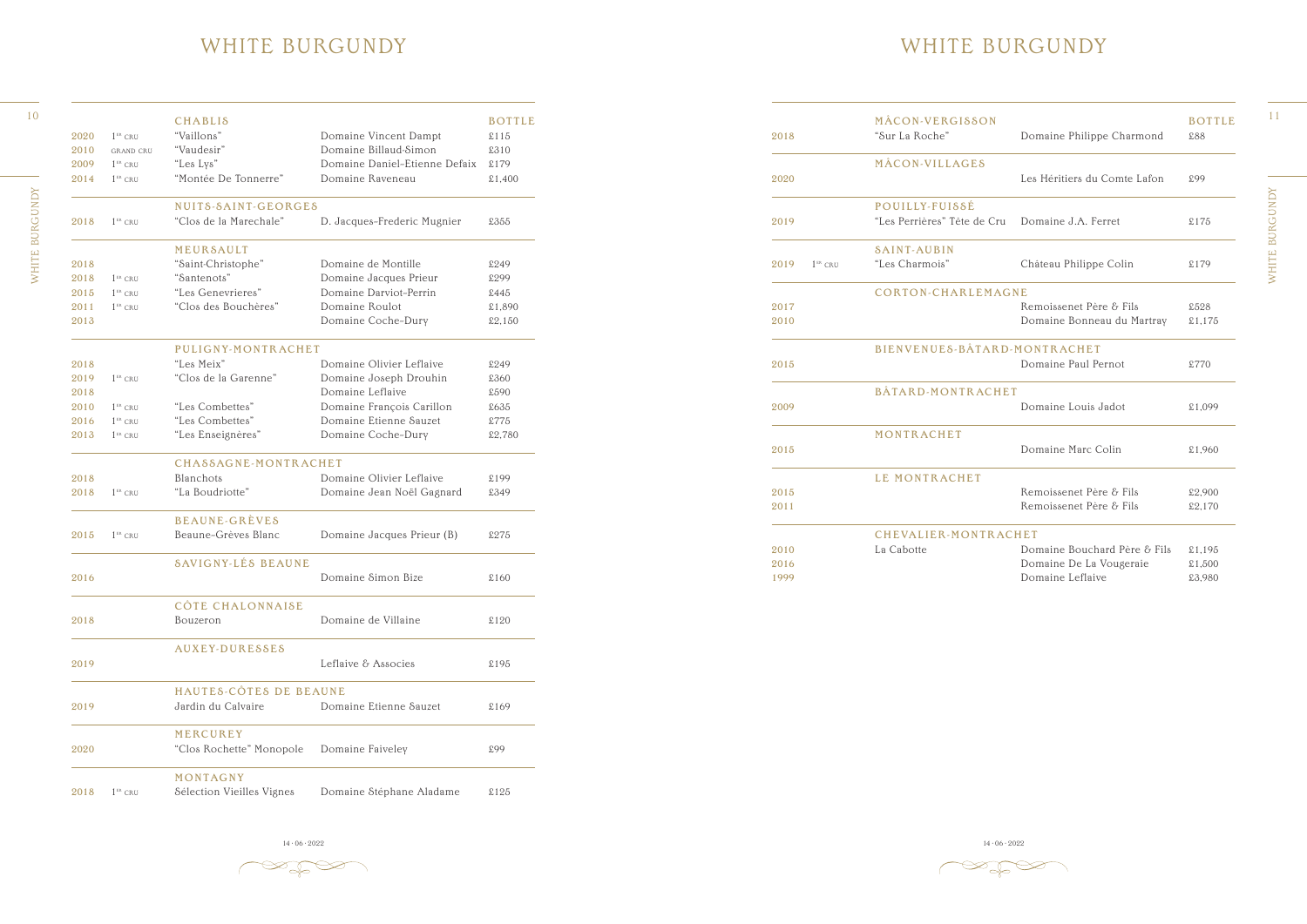#### WHITE BURGUNDY

14 · 06 · 2022 14 · 06 · 2022 14 · 06 · 2022 14 · 06 · 2022 14 · 06 · 2022 14 · 06 · 2022 14 · 06 · 2022 14 · 06 · 2022 14 · 06 · 2022 14 · 06 · 2022 14 · 06 · 2022 14 · 06 · 2022 14 · 06 · 2022 14 · 06 · 2022 14 · 06 · 20

 $\begin{picture}(120,15) \put(0,0){\line(1,0){150}} \put(15,0){\line(1,0){150}} \put(15,0){\line(1,0){150}} \put(15,0){\line(1,0){150}} \put(15,0){\line(1,0){150}} \put(15,0){\line(1,0){150}} \put(15,0){\line(1,0){150}} \put(15,0){\line(1,0){150}} \put(15,0){\line(1,0){150}} \put(15,0){\line(1,0){150}} \put(15,0){\line(1,0){150}}$ 

|      |           | MÂCON-VERGISSON              |                              | <b>BOTTLE</b> |
|------|-----------|------------------------------|------------------------------|---------------|
| 2018 |           | "Sur La Roche"               | Domaine Philippe Charmond    | £88           |
|      |           | MÂCON-VILLAGES               |                              |               |
| 2020 |           |                              | Les Héritiers du Comte Lafon | £99           |
|      |           | POUILLY-FUISSÉ               |                              |               |
| 2019 |           | "Les Perrières" Tête de Cru  | Domaine J.A. Ferret          | £175          |
|      |           | <b>SAINT-AUBIN</b>           |                              |               |
| 2019 | $1ER$ CRU | "Les Charmois"               | Château Philippe Colin       | \$179         |
|      |           | <b>CORTON-CHARLEMAGNE</b>    |                              |               |
| 2017 |           |                              | Remoissenet Père & Fils      | £528          |
| 2010 |           |                              | Domaine Bonneau du Martray   | \$1,175       |
|      |           | BIENVENUES-BÂTARD-MONTRACHET |                              |               |
| 2015 |           |                              | Domaine Paul Pernot          | £770          |
|      |           | BÂTARD-MONTRACHET            |                              |               |
| 2009 |           |                              | Domaine Louis Jadot          | £1,099        |
|      |           | MONTRACHET                   |                              |               |
| 2015 |           |                              | Domaine Marc Colin           | £1,960        |
|      |           | LE MONTRACHET                |                              |               |
| 2015 |           |                              | Remoissenet Père & Fils      | £2,900        |
| 2011 |           |                              | Remoissenet Père & Fils      | \$2,170       |
|      |           | <b>CHEVALIER-MONTRACHET</b>  |                              |               |
| 2010 |           | La Cabotte                   | Domaine Bouchard Père & Fils | £1,195        |
| 2016 |           |                              | Domaine De La Vougeraie      | £1,500        |
| 1999 |           |                              | Domaine Leflaive             | £3,980        |

 $\bigotimes_{i=1}^n\bigotimes_{i=1}^n\bigotimes_{i=1}^n\bigotimes_{i=1}^n\bigotimes_{i=1}^n\bigotimes_{i=1}^n\bigotimes_{i=1}^n\bigotimes_{i=1}^n\bigotimes_{i=1}^n\bigotimes_{i=1}^n\bigotimes_{i=1}^n\bigotimes_{i=1}^n\bigotimes_{i=1}^n\bigotimes_{i=1}^n\bigotimes_{i=1}^n\bigotimes_{i=1}^n\bigotimes_{i=1}^n\bigotimes_{i=1}^n\bigotimes_{i=1}^n\bigotimes_{i=1}^n$ 

#### WHITE BURGUNDY

|      |                          | <b>CHABLIS</b>            |                               | <b>BOTTLE</b> |                               | MÂCON-VERGISSON              |                              | <b>BOTTLE</b> |
|------|--------------------------|---------------------------|-------------------------------|---------------|-------------------------------|------------------------------|------------------------------|---------------|
| 2020 | $1ER$ CRU                | "Vaillons"                | Domaine Vincent Dampt         | \$115         | 2018                          | "Sur La Roche"               | Domaine Philippe Charmond    | £88           |
| 2010 | <b>GRAND CRU</b>         | "Vaudesir"                | Domaine Billaud-Simon         | £310          |                               |                              |                              |               |
| 2009 | $1ER$ CRU                | "Les Lys"                 | Domaine Daniel-Etienne Defaix | £179          |                               | MÂCON-VILLAGES               |                              |               |
| 2014 | $1$ <sup>ER</sup> CRU    | "Montée De Tonnerre"      | Domaine Raveneau              | £1,400        | 2020                          |                              | Les Héritiers du Comte Lafon | £99           |
|      |                          | NUITS-SAINT-GEORGES       |                               |               |                               | POUILLY-FUISSÉ               |                              |               |
| 2018 | $1$ <sup>ER</sup> CRU    | "Clos de la Marechale"    | D. Jacques-Frederic Mugnier   | £355          | 2019                          | "Les Perrières" Tête de Cru  | Domaine J.A. Ferret          | \$175         |
|      |                          | MEURSAULT                 |                               |               |                               | <b>SAINT-AUBIN</b>           |                              |               |
| 2018 |                          | "Saint-Christophe"        | Domaine de Montille           | £249          | $1$ <sup>ER</sup> CRU<br>2019 | "Les Charmois"               | Château Philippe Colin       | £179          |
| 2018 | $1ER$ CRU                | "Santenots"               | Domaine Jacques Prieur        | £299          |                               |                              |                              |               |
| 2015 | $1ER$ CRU                | "Les Genevrieres"         | Domaine Darviot-Perrin        | £445          |                               | <b>CORTON-CHARLEMAGNE</b>    |                              |               |
| 2011 | $1ER$ CRU                | "Clos des Bouchères"      | Domaine Roulot                | £1,890        | 2017                          |                              | Remoissenet Père & Fils      | £528          |
| 2013 |                          |                           | Domaine Coche-Dury            | \$2,150       | 2010                          |                              | Domaine Bonneau du Martray   | £1,175        |
|      |                          | PULIGNY-MONTRACHET        |                               |               |                               | BIENVENUES-BÂTARD-MONTRACHET |                              |               |
| 2018 |                          | "Les Meix"                | Domaine Olivier Leflaive      | £249          | 2015                          |                              | Domaine Paul Pernot          | £770          |
| 2019 | $1ER$ CRU                | "Clos de la Garenne"      | Domaine Joseph Drouhin        | £360          |                               |                              |                              |               |
| 2018 |                          |                           | Domaine Leflaive              | £590          |                               | BÂTARD-MONTRACHET            |                              |               |
| 2010 | $1ER$ CRU                | "Les Combettes"           | Domaine François Carillon     | £635          | 2009                          |                              | Domaine Louis Jadot          | £1,099        |
| 2016 | $1ER$ CRU                | "Les Combettes"           | Domaine Etienne Sauzet        | £775          |                               |                              |                              |               |
| 2013 | $1$ <sup>ER</sup> CRU    | "Les Enseignères"         | Domaine Coche-Dury            | £2,780        |                               | MONTRACHET                   |                              |               |
|      |                          | CHASSAGNE-MONTRACHET      |                               |               | 2015                          |                              | Domaine Marc Colin           | £1,960        |
| 2018 |                          | Blanchots                 | Domaine Olivier Leflaive      | £199          |                               | LE MONTRACHET                |                              |               |
| 2018 | $1$ <sup>ER</sup> CRU    | "La Boudriotte"           | Domaine Jean Noël Gagnard     | £349          | 2015                          |                              | Remoissenet Père & Fils      | £2,900        |
|      |                          | <b>BEAUNE-GRÈVES</b>      |                               |               | 2011                          |                              | Remoissenet Père & Fils      | £2,170        |
|      | $2015$ $1^{ER}$ CRU      | Beaune-Grèves Blanc       | Domaine Jacques Prieur (B)    | £275          |                               | CHEVALIER-MONTRACHET         |                              |               |
|      |                          |                           |                               |               | 2010                          | La Cabotte                   | Domaine Bouchard Père & Fils | \$1,195       |
|      |                          | <b>SAVIGNY-LÉS BEAUNE</b> |                               |               | 2016                          |                              | Domaine De La Vougeraie      | \$1,500       |
| 2016 |                          |                           | Domaine Simon Bize            | £160          | 1999                          |                              | Domaine Leflaive             | £3,980        |
|      |                          | CÔTE CHALONNAISE          |                               |               |                               |                              |                              |               |
| 2018 |                          | Bouzeron                  | Domaine de Villaine           | \$120         |                               |                              |                              |               |
|      |                          | AUXEY-DURESSES            |                               |               |                               |                              |                              |               |
| 2019 |                          |                           | Leflaive & Associes           | £195          |                               |                              |                              |               |
|      |                          | HAUTES-CÔTES DE BEAUNE    |                               |               |                               |                              |                              |               |
| 2019 |                          | Jardin du Calvaire        | Domaine Etienne Sauzet        | \$169         |                               |                              |                              |               |
|      |                          | MERCUREY                  |                               |               |                               |                              |                              |               |
| 2020 |                          | "Clos Rochette" Monopole  | Domaine Faiveley              | £99           |                               |                              |                              |               |
|      |                          | MONTAGNY                  |                               |               |                               |                              |                              |               |
|      | 2018 1 <sup>ER</sup> CRU | Sélection Vieilles Vignes | Domaine Stéphane Aladame      | \$125         |                               |                              |                              |               |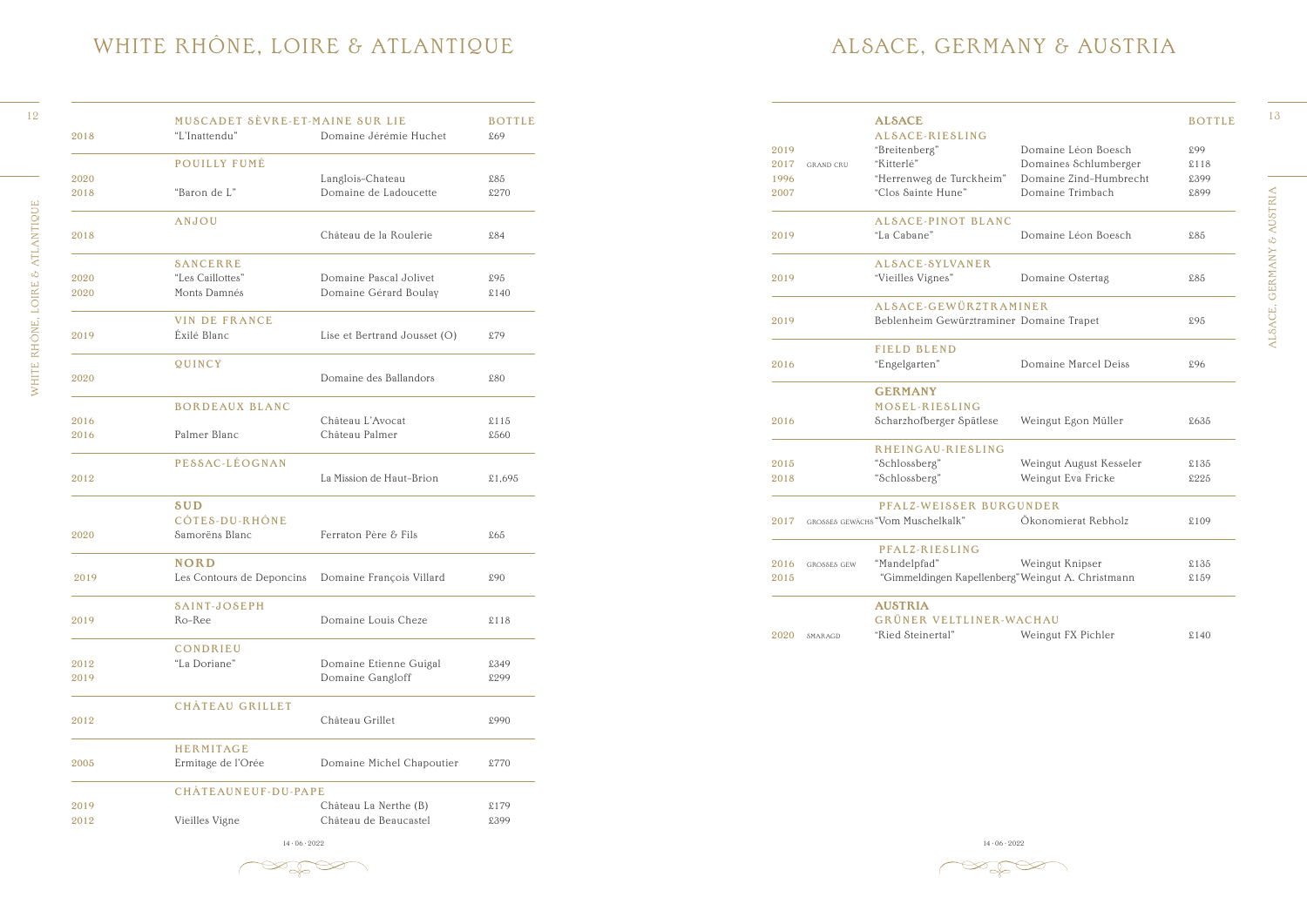ALSACE, GERMANY & AUSTRIA ALSACE, GERMANY & AUSTRIA



### ALSACE, GERMANY & AUSTRIA

|      |                    | <b>ALSACE</b>                                     |                         | <b>BO</b> |
|------|--------------------|---------------------------------------------------|-------------------------|-----------|
|      |                    | ALSACE-RIESLING                                   |                         |           |
| 2019 |                    | "Breitenberg"                                     | Domaine Léon Boesch     | £99       |
| 2017 | <b>GRAND CRU</b>   | "Kitterlé"                                        | Domaines Schlumberger   | \$11      |
| 1996 |                    | "Herrenweg de Turckheim"                          | Domaine Zind-Humbrecht  | £39       |
| 2007 |                    | "Clos Sainte Hune"                                | Domaine Trimbach        | £89       |
|      |                    | <b>ALSACE-PINOT BLANC</b>                         |                         |           |
| 2019 |                    | "La Cabane"                                       | Domaine Léon Boesch     | £85       |
|      |                    | ALSACE-SYLVANER                                   |                         |           |
| 2019 |                    | "Vieilles Vignes"                                 | Domaine Ostertag        | £85       |
|      |                    | ALSACE-GEWÜRZTRAMINER                             |                         |           |
| 2019 |                    | Beblenheim Gewürztraminer Domaine Trapet          |                         | £95       |
|      |                    | <b>FIELD BLEND</b>                                |                         |           |
| 2016 |                    | "Engelgarten"                                     | Domaine Marcel Deiss    | £96       |
|      |                    | <b>GERMANY</b>                                    |                         |           |
|      |                    | MOSEL-RIESLING                                    |                         |           |
| 2016 |                    | Scharzhofberger Spätlese                          | Weingut Egon Müller     | \$63      |
|      |                    | RHEINGAU-RIESLING                                 |                         |           |
| 2015 |                    | "Schlossberg"                                     | Weingut August Kesseler | \$13      |
| 2018 |                    | "Schlossberg"                                     | Weingut Eva Fricke      | £22       |
|      |                    | PFALZ-WEISSER BURGUNDER                           |                         |           |
| 2017 |                    | GROSSES GEWÄCHS "Vom Muschelkalk"                 | Ökonomierat Rebholz     | \$10      |
|      |                    | PFALZ-RIESLING                                    |                         |           |
| 2016 | <b>GROSSES GEW</b> | "Mandelpfad"                                      | Weingut Knipser         | \$13      |
| 2015 |                    | "Gimmeldingen Kapellenberg" Weingut A. Christmann |                         | \$15      |
|      |                    | <b>AUSTRIA</b>                                    |                         |           |
|      |                    | GRÜNER VELTLINER-WACHAU                           |                         |           |
| 2020 | SMARAGD            | "Ried Steinertal"                                 | Weingut FX Pichler      | \$14      |
|      |                    |                                                   |                         |           |

14 · 06 · 2022 14 · 06 · 2022 14 · 06 · 2022 14 · 06 · 2022 14 · 06 · 2022 14 · 06 · 2022 14 · 06 · 2022 14 · 06 · 2022 14 · 06 · 2022 14 · 06 · 2022 14 · 06 · 2022 14 · 06 · 2022 14 · 06 · 2022 14 · 06 · 2022 14 · 06 · 20

 $\mathbb{Z}$ 

|      |                    | <b>ALSACE</b>                                     |                         | <b>BOTTLE</b> |
|------|--------------------|---------------------------------------------------|-------------------------|---------------|
|      |                    | ALSACE-RIESLING                                   |                         |               |
| 2019 |                    | "Breitenberg"                                     | Domaine Léon Boesch     | £99           |
| 2017 | <b>GRAND CRU</b>   | "Kitterlé"                                        | Domaines Schlumberger   | £118          |
| 1996 |                    | "Herrenweg de Turckheim"                          | Domaine Zind-Humbrecht  | £399          |
| 2007 |                    | "Clos Sainte Hune"                                | Domaine Trimbach        | £899          |
|      |                    | <b>ALSACE-PINOT BLANC</b>                         |                         |               |
| 2019 |                    | "La Cabane"                                       | Domaine Léon Boesch     | £85           |
|      |                    | ALSACE-SYLVANER                                   |                         |               |
| 2019 |                    | "Vieilles Vignes"                                 | Domaine Ostertag        | £85           |
|      |                    | ALSACE-GEWÜRZTRAMINER                             |                         |               |
| 2019 |                    | Beblenheim Gewürztraminer Domaine Trapet          |                         | £95           |
|      |                    | <b>FIELD BLEND</b>                                |                         |               |
| 2016 |                    | "Engelgarten"                                     | Domaine Marcel Deiss    | £96           |
|      |                    | <b>GERMANY</b>                                    |                         |               |
|      |                    | MOSEL-RIESLING                                    |                         |               |
| 2016 |                    | Scharzhofberger Spätlese                          | Weingut Egon Müller     | £635          |
|      |                    | RHEINGAU-RIESLING                                 |                         |               |
| 2015 |                    | "Schlossberg"                                     | Weingut August Kesseler | £135          |
| 2018 |                    | "Schlossberg"                                     | Weingut Eva Fricke      | £225          |
|      |                    | PFALZ-WEISSER BURGUNDER                           |                         |               |
| 2017 |                    | GROSSES GEWÄCHS "Vom Muschelkalk"                 | Ökonomierat Rebholz     | £109          |
|      |                    | PFALZ-RIESLING                                    |                         |               |
| 2016 | <b>GROSSES GEW</b> | "Mandelpfad"                                      | Weingut Knipser         | £135          |
| 2015 |                    | "Gimmeldingen Kapellenberg" Weingut A. Christmann |                         | £159          |
|      |                    | <b>AUSTRIA</b>                                    |                         |               |

WHITE RHONE, LOIRE & ATLANTIQUE

| 2018         | MUSCADET SÈVRE-ET-MAINE SUR LIE<br>"L'Inattendu"   | Domaine Jérémie Huchet       | <b>BOTTLE</b><br>£69 |                            | <b>ALSACE</b><br>ALSACE-RIESLING<br>"Breitenberg" | Domaine Léon Boesch     | <b>BOTTLE</b><br>£99 |
|--------------|----------------------------------------------------|------------------------------|----------------------|----------------------------|---------------------------------------------------|-------------------------|----------------------|
|              | <b>POUILLY FUMÉ</b>                                |                              |                      | 2019                       | "Kitterlé"                                        | Domaines Schlumberger   |                      |
|              |                                                    |                              |                      | 2017<br><b>GRAND CRU</b>   |                                                   |                         | \$118                |
| 2020         |                                                    | Langlois-Chateau             | \$85                 | 1996                       | "Herrenweg de Turckheim"                          | Domaine Zind-Humbrecht  | £399                 |
| 2018         | "Baron de L"                                       | Domaine de Ladoucette        | £270                 | 2007                       | "Clos Sainte Hune"                                | Domaine Trimbach        | £899                 |
|              | ANJOU                                              |                              |                      |                            | <b>ALSACE-PINOT BLANC</b>                         |                         |                      |
| 2018         |                                                    | Château de la Roulerie       | £84                  | 2019                       | "La Cabane"                                       | Domaine Léon Boesch     | £85                  |
|              | <b>SANCERRE</b>                                    |                              |                      |                            | ALSACE-SYLVANER                                   |                         |                      |
| 2020         | "Les Caillottes"                                   | Domaine Pascal Jolivet       | £95                  | 2019                       | "Vieilles Vignes"                                 | Domaine Ostertag        | £85                  |
| 2020         | Monts Damnés                                       | Domaine Gérard Boulay        | $\pounds140$         |                            |                                                   |                         |                      |
|              |                                                    |                              |                      |                            | ALSACE-GEWÜRZTRAMINER                             |                         |                      |
| 2019         | <b>VIN DE FRANCE</b><br>Éxilé Blanc                | Lise et Bertrand Jousset (O) | £79                  | 2019                       | Beblenheim Gewürztraminer Domaine Trapet          |                         | £95                  |
|              |                                                    |                              |                      |                            | FIELD BLEND                                       |                         |                      |
|              | QUINCY                                             |                              |                      | 2016                       | "Engelgarten"                                     | Domaine Marcel Deiss    | £96                  |
| 2020         |                                                    | Domaine des Ballandors       | £80                  |                            |                                                   |                         |                      |
|              |                                                    |                              |                      |                            | <b>GERMANY</b>                                    |                         |                      |
|              | <b>BORDEAUX BLANC</b>                              |                              |                      |                            | MOSEL-RIESLING                                    |                         |                      |
| 2016         |                                                    | Château L'Avocat             | $$115$               | 2016                       | Scharzhofberger Spätlese                          | Weingut Egon Müller     | £635                 |
| 2016         | Palmer Blanc                                       | Château Palmer               | £560                 |                            |                                                   |                         |                      |
|              | PESSAC-LÉOGNAN                                     |                              |                      | 2015                       | RHEINGAU-RIESLING<br>"Schlossberg"                | Weingut August Kesseler | \$135                |
| 2012         |                                                    | La Mission de Haut-Brion     | £1,695               | 2018                       | "Schlossberg"                                     | Weingut Eva Fricke      | £225                 |
|              |                                                    |                              |                      |                            |                                                   |                         |                      |
|              | <b>SUD</b>                                         |                              |                      |                            | PFALZ-WEISSER BURGUNDER                           |                         |                      |
|              | CÔTES-DU-RHÔNE                                     |                              |                      | 2017                       | GROSSES GEWÄCHS "Vom Muschelkalk"                 | Ökonomierat Rebholz     | \$109                |
| 2020         | Samorëns Blanc                                     | Ferraton Père & Fils         | \$65                 |                            |                                                   |                         |                      |
|              | <b>NORD</b>                                        |                              |                      | 2016<br><b>GROSSES GEW</b> | PFALZ-RIESLING<br>"Mandelpfad"                    | Weingut Knipser         | £135                 |
| 2019         | Les Contours de Deponcins Domaine François Villard |                              | £90                  | 2015                       | "Gimmeldingen Kapellenberg" Weingut A. Christmann |                         | \$159                |
|              |                                                    |                              |                      |                            |                                                   |                         |                      |
|              | <b>SAINT-JOSEPH</b>                                |                              |                      |                            | <b>AUSTRIA</b>                                    |                         |                      |
| 2019         | Ro-Ree                                             | Domaine Louis Cheze          | $$118$               |                            | GRÜNER VELTLINER-WACHAU                           |                         |                      |
|              |                                                    |                              |                      | 2020<br>SMARAGD            | "Ried Steinertal"                                 | Weingut FX Pichler      | $$140$               |
| 2012         | CONDRIEU<br>"La Doriane"                           |                              | £349                 |                            |                                                   |                         |                      |
|              |                                                    | Domaine Etienne Guigal       |                      |                            |                                                   |                         |                      |
| 2019         |                                                    | Domaine Gangloff             | £299                 |                            |                                                   |                         |                      |
|              | <b>CHÂTEAU GRILLET</b>                             |                              |                      |                            |                                                   |                         |                      |
| 2012         |                                                    | Château Grillet              | £990                 |                            |                                                   |                         |                      |
|              | HERMITAGE                                          |                              |                      |                            |                                                   |                         |                      |
|              |                                                    |                              | £770                 |                            |                                                   |                         |                      |
|              |                                                    |                              |                      |                            |                                                   |                         |                      |
|              | Ermitage de l'Orée                                 | Domaine Michel Chapoutier    |                      |                            |                                                   |                         |                      |
|              | CHÂTEAUNEUF-DU-PAPE                                |                              |                      |                            |                                                   |                         |                      |
| 2005<br>2019 |                                                    | Château La Nerthe (B)        | \$179                |                            |                                                   |                         |                      |

# WHITE RHÔNE, LOIRE & ATLANTIQUE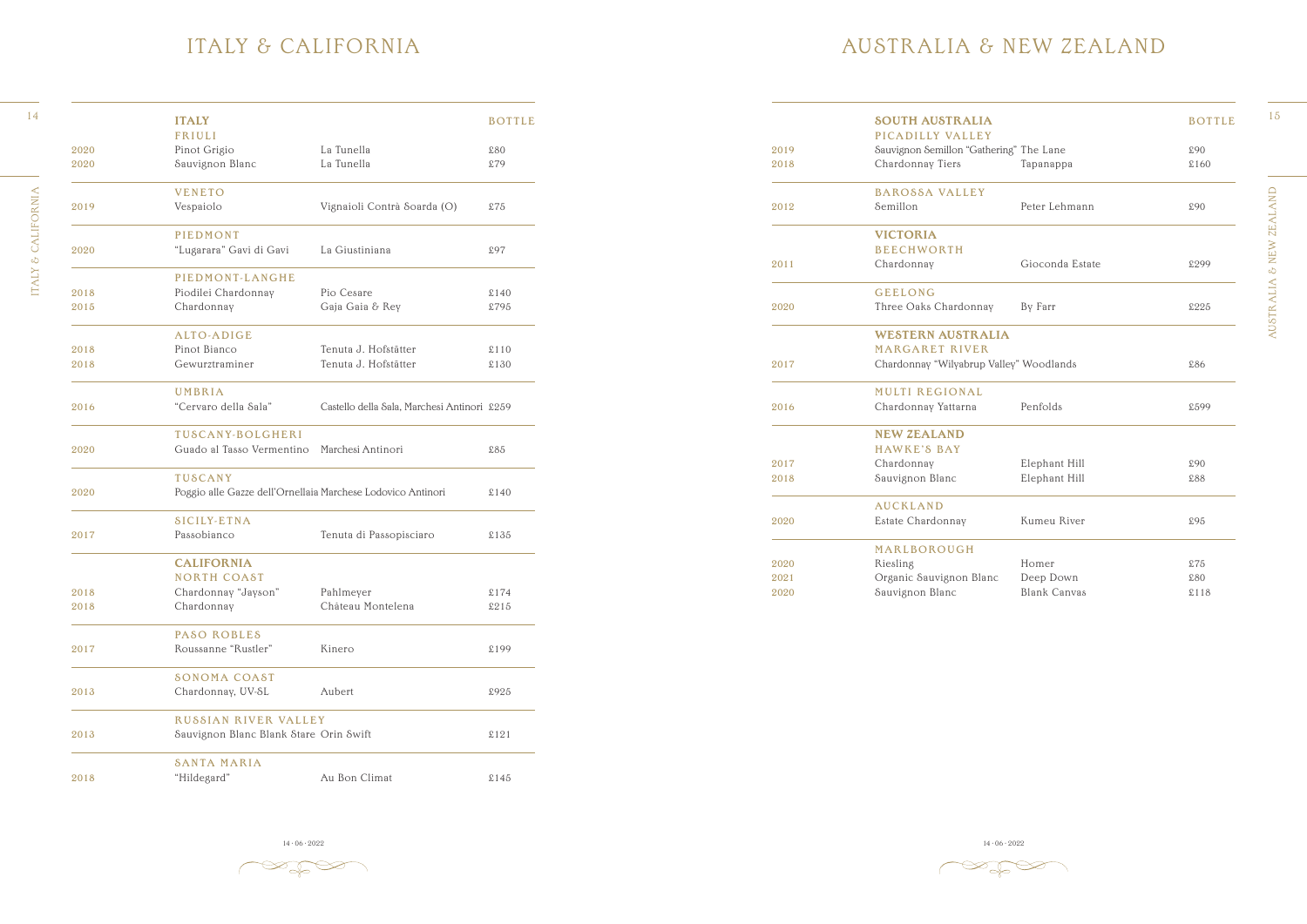AUSTRALIA & NEW ZEALAND AUSTRALIA & NEW ZEALAND



### AUSTRALIA & NEW ZEALAND

|      | <b>ITALY</b>                                                |                                             | <b>BOTTLE</b> |      | <b>SOUTH AUSTRALIA</b>                  |                     | <b>BOTTLE</b> |
|------|-------------------------------------------------------------|---------------------------------------------|---------------|------|-----------------------------------------|---------------------|---------------|
|      | FRIULI                                                      |                                             |               |      | PICADILLY VALLEY                        |                     |               |
| 2020 | Pinot Grigio                                                | La Tunella                                  | \$80          | 2019 | Sauvignon Semillon "Gathering" The Lane |                     | £90           |
| 2020 | Sauvignon Blanc                                             | La Tunella                                  | \$79          | 2018 | Chardonnay Tiers                        | Tapanappa           | \$160         |
|      | <b>VENETO</b>                                               |                                             |               |      | <b>BAROSSA VALLEY</b>                   |                     |               |
| 2019 | Vespaiolo                                                   | Vignaioli Contrà Soarda (O)                 | \$75          | 2012 | Semillon                                | Peter Lehmann       | £90           |
|      | PIEDMONT                                                    |                                             |               |      | <b>VICTORIA</b>                         |                     |               |
| 2020 | "Lugarara" Gavi di Gavi                                     | La Giustiniana                              | £97           |      | <b>BEECHWORTH</b>                       |                     |               |
|      |                                                             |                                             |               | 2011 | Chardonnay                              | Gioconda Estate     | £299          |
|      | PIEDMONT-LANGHE                                             |                                             |               |      |                                         |                     |               |
| 2018 | Piodilei Chardonnay                                         | Pio Cesare                                  | \$140         |      | <b>GEELONG</b>                          |                     |               |
| 2015 | Chardonnay                                                  | Gaja Gaia & Rey                             | £795          | 2020 | Three Oaks Chardonnay                   | By Farr             | £225          |
|      | ALTO-ADIGE                                                  |                                             |               |      | <b>WESTERN AUSTRALIA</b>                |                     |               |
| 2018 | Pinot Bianco                                                | Tenuta J. Hofstätter                        | \$110         |      | <b>MARGARET RIVER</b>                   |                     |               |
| 2018 | Gewurztraminer                                              | Tenuta J. Hofstätter                        | £130          | 2017 | Chardonnay "Wilyabrup Valley" Woodlands |                     | £86           |
|      | UMBRIA                                                      |                                             |               |      | <b>MULTI REGIONAL</b>                   |                     |               |
| 2016 | "Cervaro della Sala"                                        | Castello della Sala, Marchesi Antinori £259 |               | 2016 | Chardonnay Yattarna                     | Penfolds            | £599          |
|      | TUSCANY-BOLGHERI                                            |                                             |               |      | <b>NEW ZEALAND</b>                      |                     |               |
| 2020 | Guado al Tasso Vermentino Marchesi Antinori                 |                                             | £85           |      | <b>HAWKE'S BAY</b>                      |                     |               |
|      |                                                             |                                             |               | 2017 | Chardonnay                              | Elephant Hill       | £90           |
|      | <b>TUSCANY</b>                                              |                                             |               | 2018 | Sauvignon Blanc                         | Elephant Hill       | £88           |
| 2020 | Poggio alle Gazze dell'Ornellaia Marchese Lodovico Antinori |                                             | \$140         |      |                                         |                     |               |
|      |                                                             |                                             |               |      | <b>AUCKLAND</b>                         |                     |               |
|      | <b>SICILY-ETNA</b>                                          |                                             |               | 2020 | Estate Chardonnay                       | Kumeu River         | £95           |
| 2017 | Passobianco                                                 | Tenuta di Passopisciaro                     | £135          |      | MARLBOROUGH                             |                     |               |
|      | <b>CALIFORNIA</b>                                           |                                             |               | 2020 | Riesling                                | Homer               | \$75          |
|      | <b>NORTH COAST</b>                                          |                                             |               | 2021 | Organic Sauvignon Blanc                 | Deep Down           | £80           |
| 2018 | Chardonnay "Jayson"                                         | Pahlmeyer                                   | £174          | 2020 | Sauvignon Blanc                         | <b>Blank Canvas</b> | \$118         |
| 2018 | Chardonnay                                                  | Château Montelena                           | £215          |      |                                         |                     |               |
|      |                                                             |                                             |               |      |                                         |                     |               |

14 · 06 · 2022 14 · 06 · 2022 14 · 06 · 2022 14 · 06 · 2022 14 · 06 · 2022 14 · 06 · 2022 14 · 06 · 2022 14 · 06 · 2022 14 · 06 · 2022 14 · 06 · 2022 14 · 06 · 2022 14 · 06 · 2022 14 · 06 · 2022 14 · 06 · 2022 14 · 06 · 20

'-L

ITALY & CALIFORNIA

#### ITALY & CALIFORNIA

|      | <b>ITALY</b>                                                |                                             | <b>BOTTLE</b> |
|------|-------------------------------------------------------------|---------------------------------------------|---------------|
|      | <b>FRIULI</b>                                               |                                             |               |
| 2020 | Pinot Grigio                                                | La Tunella                                  | \$80          |
| 2020 | Sauvignon Blanc                                             | La Tunella                                  | £79           |
|      | <b>VENETO</b>                                               |                                             |               |
| 2019 | Vespaiolo                                                   | Vignaioli Contrà Soarda (O)                 | £75           |
|      | <b>PIEDMONT</b>                                             |                                             |               |
| 2020 | "Lugarara" Gavi di Gavi                                     | La Giustiniana                              | £97           |
|      | PIEDMONT-LANGHE                                             |                                             |               |
| 2018 | Piodilei Chardonnay                                         | Pio Cesare                                  | \$140         |
| 2015 | Chardonnay                                                  | Gaja Gaia & Rey                             | £795          |
|      | ALTO-ADIGE                                                  |                                             |               |
| 2018 | Pinot Bianco                                                | Tenuta J. Hofstätter                        | \$110         |
| 2018 | Gewurztraminer                                              | Tenuta J. Hofstätter                        | \$130         |
|      | UMBRIA                                                      |                                             |               |
| 2016 | "Cervaro della Sala"                                        | Castello della Sala, Marchesi Antinori £259 |               |
|      | <b>TUSCANY-BOLGHERI</b>                                     |                                             |               |
| 2020 | Guado al Tasso Vermentino                                   | Marchesi Antinori                           | \$85          |
|      | <b>TUSCANY</b>                                              |                                             |               |
| 2020 | Poggio alle Gazze dell'Ornellaia Marchese Lodovico Antinori |                                             | \$140         |
|      | <b>SICILY-ETNA</b>                                          |                                             |               |
| 2017 | Passobianco                                                 | Tenuta di Passopisciaro                     | £135          |
|      | <b>CALIFORNIA</b>                                           |                                             |               |
|      | <b>NORTH COAST</b>                                          |                                             |               |
| 2018 | Chardonnay "Jayson"                                         | Pahlmeyer                                   | £174          |
| 2018 | Chardonnay                                                  | Château Montelena                           | £215          |
|      | PASO ROBLES                                                 |                                             |               |
| 2017 | Roussanne "Rustler"                                         | Kinero                                      | £199          |
|      | <b>SONOMA COAST</b>                                         |                                             |               |
| 2013 | Chardonnay, UV-SL                                           | Aubert                                      | £925          |
|      | <b>RUSSIAN RIVER VALLEY</b>                                 |                                             |               |
| 2013 | Sauvignon Blanc Blank Stare Orin Swift                      |                                             | \$121         |
|      | <b>SANTA MARIA</b>                                          |                                             |               |
| 2018 | "Hildegard"                                                 | Au Bon Climat                               | £145          |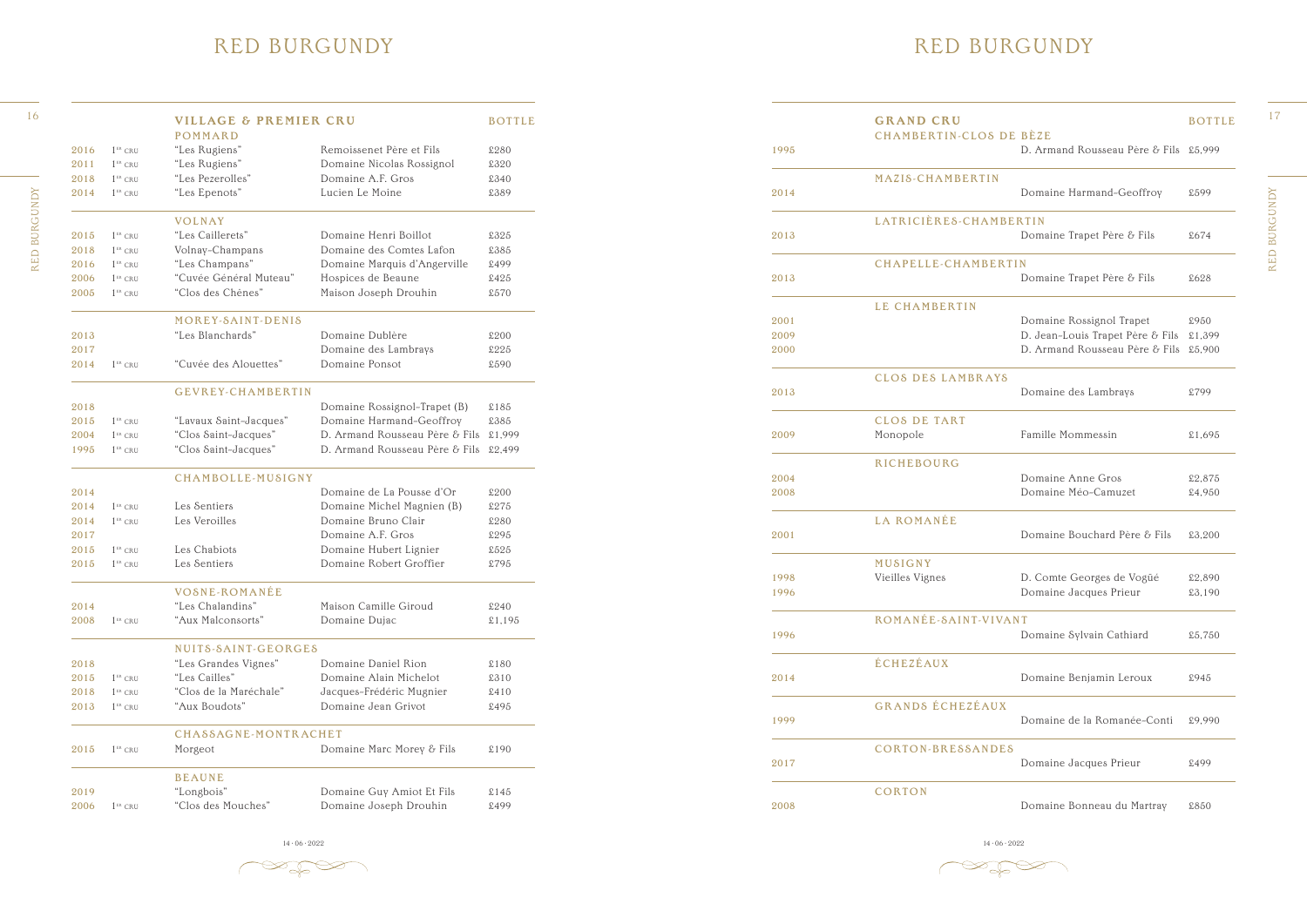RED BURGUNDY RED BURGUNDY

 $\begin{picture}(120,15) \put(0,0){\line(1,0){150}} \put(15,0){\line(1,0){150}} \put(15,0){\line(1,0){150}} \put(15,0){\line(1,0){150}} \put(15,0){\line(1,0){150}} \put(15,0){\line(1,0){150}} \put(15,0){\line(1,0){150}} \put(15,0){\line(1,0){150}} \put(15,0){\line(1,0){150}} \put(15,0){\line(1,0){150}} \put(15,0){\line(1,0){150}}$ 

#### RED BURGUNDY

| 1995                 | <b>GRAND CRU</b><br><b>CHAMBERTIN-CLOS DE BÈZE</b> | D. Armand Rousseau Père & Fils £5,999                                                          | <b>BOTTLE</b>            |
|----------------------|----------------------------------------------------|------------------------------------------------------------------------------------------------|--------------------------|
|                      |                                                    |                                                                                                |                          |
| 2014                 | MAZIS-CHAMBERTIN                                   | Domaine Harmand-Geoffroy                                                                       | £599                     |
| 2013                 | LATRICIÈRES-CHAMBERTIN                             | Domaine Trapet Père & Fils                                                                     | £674                     |
| 2013                 | CHAPELLE-CHAMBERTIN                                | Domaine Trapet Père & Fils                                                                     | \$628                    |
| 2001<br>2009<br>2000 | LE CHAMBERTIN                                      | Domaine Rossignol Trapet<br>D. Jean-Louis Trapet Père & Fils<br>D. Armand Rousseau Père & Fils | £950<br>£1,399<br>£5,900 |
| 2013                 | <b>CLOS DES LAMBRAYS</b>                           | Domaine des Lambrays                                                                           | £799                     |
| 2009                 | <b>CLOS DE TART</b><br>Monopole                    | Famille Mommessin                                                                              | £1,695                   |
| 2004<br>2008         | RICHEBOURG                                         | Domaine Anne Gros<br>Domaine Méo-Camuzet                                                       | £2,875<br>£4,950         |
| 2001                 | <b>LA ROMANÉE</b>                                  | Domaine Bouchard Père & Fils                                                                   | £3,200                   |
| 1998<br>1996         | MUSIGNY<br>Vieilles Vignes                         | D. Comte Georges de Vogüé<br>Domaine Jacques Prieur                                            | £2,890<br>£3.190         |
| 1996                 | ROMANÉE-SAINT-VIVANT                               | Domaine Sylvain Cathiard                                                                       | £5,750                   |
| 2014                 | ÉCHEZÉAUX                                          | Domaine Benjamin Leroux                                                                        | £945                     |
| 1999                 | <b>GRANDS ÉCHEZÉAUX</b>                            | Domaine de la Romanée-Conti                                                                    | £9,990                   |
| 2017                 | CORTON-BRESSANDES                                  | Domaine Jacques Prieur                                                                         | £499                     |
| 2008                 | CORTON                                             | Domaine Bonneau du Martray                                                                     | £850                     |

14 · 06 · 2022 14 · 06 · 2022 14 · 06 · 2022 14 · 06 · 2022 14 · 06 · 2022 14 · 06 · 2022 14 · 06 · 2022 14 · 06 · 2022 14 · 06 · 2022 14 · 06 · 2022 14 · 06 · 2022 14 · 06 · 2022 14 · 06 · 2022 14 · 06 · 2022 14 · 06 · 20

 $\gg$   $\approx$ 

#### RED BURGUNDY

|      |                                                | <b>VILLAGE &amp; PREMIER CRU</b><br><b>POMMARD</b> |                                       | <b>BOTTLE</b> |      | <b>GRAND CRU</b><br><b>CHAMBERTIN-CLOS DE BÈZE</b> |                                         | <b>BOTTLE</b> |
|------|------------------------------------------------|----------------------------------------------------|---------------------------------------|---------------|------|----------------------------------------------------|-----------------------------------------|---------------|
| 2016 |                                                | "Les Rugiens"                                      | Remoissenet Père et Fils              | £280          | 1995 |                                                    | D. Armand Rousseau Père & Fils £5,999   |               |
| 2011 | $1$ <sup>ER</sup> CRU<br>$1$ <sup>ER</sup> CRU | "Les Rugiens"                                      | Domaine Nicolas Rossignol             | £320          |      |                                                    |                                         |               |
| 2018 | $1$ <sup>ER</sup> CRU                          | "Les Pezerolles"                                   | Domaine A.F. Gros                     | £340          |      | MAZIS-CHAMBERTIN                                   |                                         |               |
| 2014 | $1$ <sup>ER</sup> CRU                          | "Les Epenots"                                      | Lucien Le Moine                       | £389          | 2014 |                                                    | Domaine Harmand-Geoffroy                | £599          |
|      |                                                |                                                    |                                       |               |      |                                                    |                                         |               |
|      |                                                | <b>VOLNAY</b>                                      |                                       |               |      | LATRICIÈRES-CHAMBERTIN                             |                                         |               |
| 2015 | $1$ <sup>ER</sup> CRU                          | "Les Caillerets"                                   | Domaine Henri Boillot                 | £325          | 2013 |                                                    | Domaine Trapet Père & Fils              | £674          |
| 2018 | $1ER$ CRU                                      | Volnay-Champans                                    | Domaine des Comtes Lafon              | £385          |      |                                                    |                                         |               |
| 2016 | $1$ <sup>er</sup> cru                          | "Les Champans"                                     | Domaine Marquis d'Angerville          | £499          |      | <b>CHAPELLE-CHAMBERTIN</b>                         |                                         |               |
| 2006 | $1$ <sup>ER</sup> CRU                          | "Cuvée Général Muteau"                             | Hospices de Beaune                    | £425          | 2013 |                                                    | Domaine Trapet Père & Fils              | £628          |
| 2005 | $1ER$ CRU                                      | "Clos des Chênes"                                  | Maison Joseph Drouhin                 | £570          |      |                                                    |                                         |               |
|      |                                                | MOREY-SAINT-DENIS                                  |                                       |               | 2001 | LE CHAMBERTIN                                      | Domaine Rossignol Trapet                | £950          |
| 2013 |                                                | "Les Blanchards"                                   | Domaine Dublère                       | £200          | 2009 |                                                    | D. Jean-Louis Trapet Père & Fils £1,399 |               |
| 2017 |                                                |                                                    | Domaine des Lambrays                  | £225          | 2000 |                                                    | D. Armand Rousseau Père & Fils £5,900   |               |
| 2014 | $1$ <sup>ER</sup> CRU                          | "Cuvée des Alouettes"                              | Domaine Ponsot                        | £590          |      |                                                    |                                         |               |
|      |                                                |                                                    |                                       |               |      | CLOS DES LAMBRAYS                                  |                                         |               |
|      |                                                | GEVREY-CHAMBERTIN                                  |                                       |               | 2013 |                                                    | Domaine des Lambrays                    | £799          |
| 2018 |                                                |                                                    | Domaine Rossignol-Trapet (B)          | £185          |      |                                                    |                                         |               |
| 2015 | $1$ <sup>ER</sup> CRU                          | "Lavaux Saint-Jacques"                             | Domaine Harmand-Geoffroy              | £385          |      | <b>CLOS DE TART</b>                                |                                         |               |
| 2004 | $1ER$ CRU                                      | "Clos Saint-Jacques"                               | D. Armand Rousseau Père & Fils £1,999 |               | 2009 | Monopole                                           | Famille Mommessin                       | £1,695        |
| 1995 | $1$ <sup>ER</sup> CRU                          | "Clos Saint-Jacques"                               | D. Armand Rousseau Père & Fils £2,499 |               |      |                                                    |                                         |               |
|      |                                                | CHAMBOLLE-MUSIGNY                                  |                                       |               | 2004 | RICHEBOURG                                         | Domaine Anne Gros                       | £2,875        |
| 2014 |                                                |                                                    | Domaine de La Pousse d'Or             | £200          | 2008 |                                                    | Domaine Méo-Camuzet                     | £4,950        |
| 2014 | $1$ <sup>ER</sup> CRU                          | Les Sentiers                                       | Domaine Michel Magnien (B)            | £275          |      |                                                    |                                         |               |
| 2014 | $1$ <sup>ER</sup> CRU                          | Les Veroilles                                      | Domaine Bruno Clair                   | £280          |      | <b>LA ROMANÉE</b>                                  |                                         |               |
| 2017 |                                                |                                                    | Domaine A.F. Gros                     | £295          | 2001 |                                                    | Domaine Bouchard Père & Fils            | £3,200        |
| 2015 | $1ER$ CRU                                      | Les Chabiots                                       | Domaine Hubert Lignier                | £525          |      |                                                    |                                         |               |
| 2015 | $1ER$ CRU                                      | Les Sentiers                                       | Domaine Robert Groffier               | £795          |      | MUSIGNY                                            |                                         |               |
|      |                                                |                                                    |                                       |               | 1998 | Vieilles Vignes                                    | D. Comte Georges de Vogüé               | £2,890        |
|      |                                                | VOSNE-ROMANÉE                                      |                                       |               | 1996 |                                                    | Domaine Jacques Prieur                  | £3,190        |
| 2014 |                                                | "Les Chalandins"                                   | Maison Camille Giroud                 | £240          |      |                                                    |                                         |               |
| 2008 | $1$ <sup>ER</sup> CRU                          | "Aux Malconsorts"                                  | Domaine Dujac                         | \$1,195       |      | ROMANÉE-SAINT-VIVANT                               |                                         |               |
|      |                                                | NUITS-SAINT-GEORGES                                |                                       |               | 1996 |                                                    | Domaine Sylvain Cathiard                | £5,750        |
| 2018 |                                                | "Les Grandes Vignes"                               | Domaine Daniel Rion                   | \$180         |      | ÉCHEZÉAUX                                          |                                         |               |
| 2015 | $1^{\text{\tiny ER}}$ CRU                      | "Les Cailles"                                      | Domaine Alain Michelot                | £310          | 2014 |                                                    | Domaine Benjamin Leroux                 | £945          |
| 2018 | $1^{\text{\tiny{ER}}}$ CRU                     | "Clos de la Maréchale"                             | Jacques-Frédéric Mugnier              | \$410         |      |                                                    |                                         |               |
| 2013 | $1$ <sup>ER</sup> CRU                          | "Aux Boudots"                                      | Domaine Jean Grivot                   | £495          |      | GRANDS ÉCHEZÉAUX                                   |                                         |               |
|      |                                                |                                                    |                                       |               | 1999 |                                                    | Domaine de la Romanée-Conti             | £9,990        |
|      |                                                | CHASSAGNE-MONTRACHET                               |                                       |               |      |                                                    |                                         |               |
| 2015 | $1$ <sup>ER</sup> CRU                          | Morgeot                                            | Domaine Marc Morey & Fils             | £190          |      | CORTON-BRESSANDES                                  |                                         |               |
|      |                                                | <b>BEAUNE</b>                                      |                                       |               | 2017 |                                                    | Domaine Jacques Prieur                  | £499          |
| 2019 |                                                | "Longbois"                                         | Domaine Guy Amiot Et Fils             | \$145         |      | <b>CORTON</b>                                      |                                         |               |
| 2006 | $1$ <sup>er</sup> CRU                          | "Clos des Mouches"                                 | Domaine Joseph Drouhin                | £499          | 2008 |                                                    | Domaine Bonneau du Martray              | £850          |
|      |                                                |                                                    |                                       |               |      |                                                    |                                         |               |

RED BURGUNDY

 $\overline{\phantom{a}}$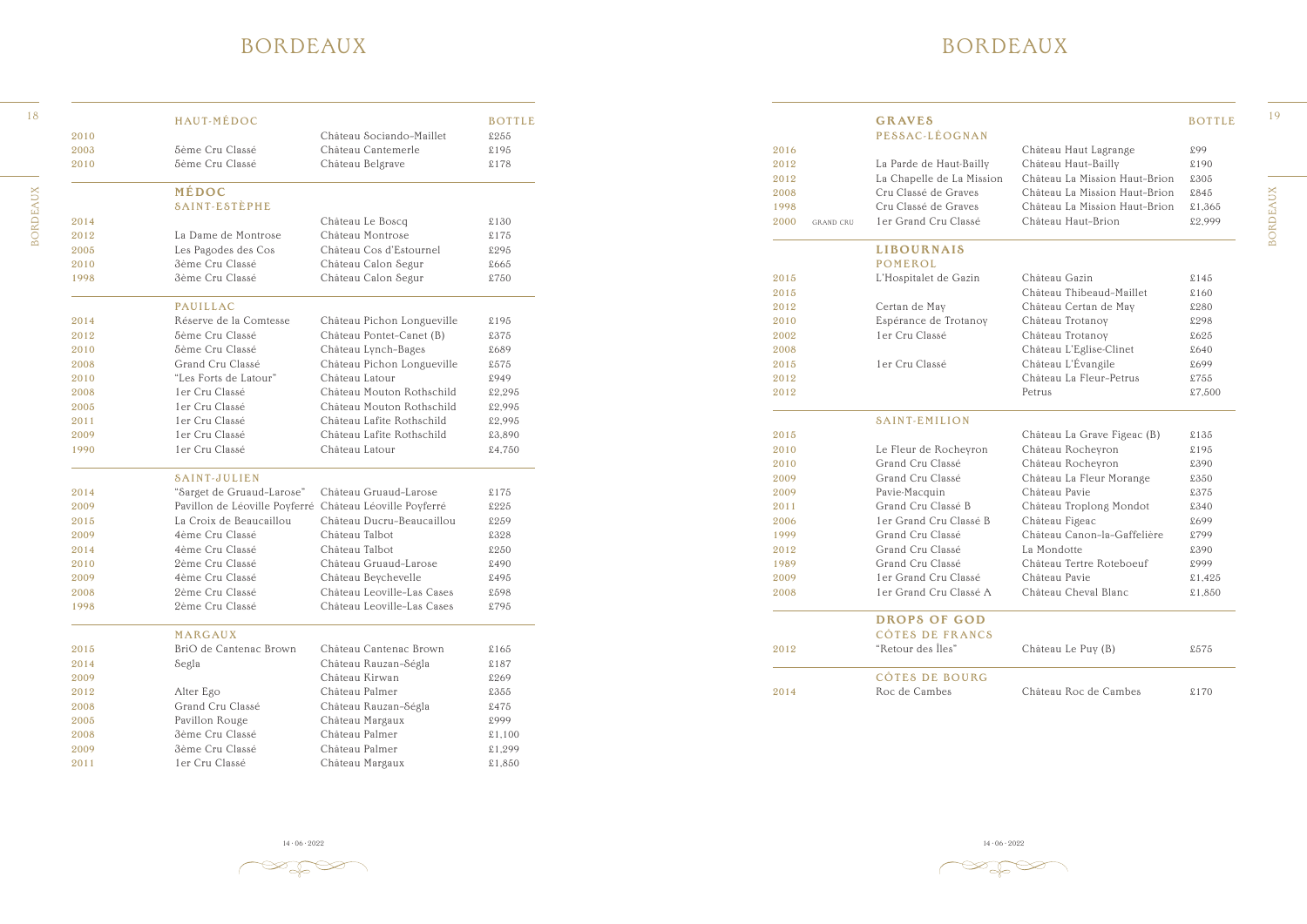#### BORDEAUX

 $\gg$   $\gg$ 

**BORDEAUX** BORDEAUX

|      |                  | <b>GRAVES</b><br>PESSAC-LÉOGNAN |                               | <b>BOTTLE</b> |
|------|------------------|---------------------------------|-------------------------------|---------------|
| 2016 |                  |                                 | Château Haut Lagrange         | £99           |
| 2012 |                  | La Parde de Haut-Bailly         | Château Haut-Bailly           | £190          |
| 2012 |                  | La Chapelle de La Mission       | Château La Mission Haut-Brion | £305          |
| 2008 |                  | Cru Classé de Graves            | Château La Mission Haut-Brion | £845          |
| 1998 |                  | Cru Classé de Graves            | Château La Mission Haut-Brion | £1,365        |
| 2000 | <b>GRAND CRU</b> | 1er Grand Cru Classé            | Château Haut-Brion            | £2,999        |
|      |                  | <b>LIBOURNAIS</b>               |                               |               |
|      |                  | <b>POMEROL</b>                  |                               |               |
| 2015 |                  | L'Hospitalet de Gazin           | Château Gazin                 | £145          |
| 2015 |                  |                                 | Château Thibeaud-Maillet      | £160          |
| 2012 |                  | Certan de May                   | Château Certan de May         | £280          |
| 2010 |                  | Espérance de Trotanoy           | Château Trotanoy              | £298          |
| 2002 |                  | 1er Cru Classé                  | Château Trotanoy              | £625          |
| 2008 |                  |                                 | Château L'Eglise-Clinet       | £640          |
| 2015 |                  | 1 er Cru Classé                 | Château L'Évangile            | £699          |
| 2012 |                  |                                 | Château La Fleur-Petrus       | £755          |
| 2012 |                  |                                 | Petrus                        | £7,500        |
|      |                  |                                 |                               |               |
|      |                  | <b>SAINT-EMILION</b>            |                               |               |
| 2015 |                  |                                 | Château La Grave Figeac (B)   | £135          |
| 2010 |                  | Le Fleur de Rocheyron           | Château Rocheyron             | £195          |
| 2010 |                  | Grand Cru Classé                | Château Rocheyron             | £390          |
| 2009 |                  | Grand Cru Classé                | Château La Fleur Morange      | £350          |
| 2009 |                  | Pavie-Macquin                   | Château Pavie                 | £375          |
| 2011 |                  | Grand Cru Classé B              | Château Troplong Mondot       | £340          |
| 2006 |                  | 1er Grand Cru Classé B          | Château Figeac                | £699          |
| 1999 |                  | Grand Cru Classé                | Château Canon-la-Gaffelière   | £799          |
| 2012 |                  | Grand Cru Classé                | La Mondotte                   | £390          |
| 1989 |                  | Grand Cru Classé                | Château Tertre Roteboeuf      | £999          |
| 2009 |                  | 1er Grand Cru Classé            | Château Pavie                 | £1,425        |
| 2008 |                  | 1er Grand Cru Classé A          | Château Cheval Blanc          | £1,850        |
|      |                  | <b>DROPS OF GOD</b>             |                               |               |
|      |                  | <b>CÔTES DE FRANCS</b>          |                               |               |
| 2012 |                  | "Retour des Îles"               | Château Le Puy (B)            | £575          |
|      |                  | <b>CÔTES DE BOURG</b>           |                               |               |
| 2014 |                  | Roc de Cambes                   | Château Roc de Cambes         | £170          |
|      |                  |                                 |                               |               |

14 · 06 · 2022 14 · 06 · 2022 14 · 06 · 2022 14 · 06 · 2022 14 · 06 · 2022 14 · 06 · 2022 14 · 06 · 2022 14 · 06 · 2022 14 · 06 · 2022 14 · 06 · 2022 14 · 06 · 2022 14 · 06 · 2022 14 · 06 · 2022 14 · 06 · 2022 14 · 06 · 20

 $\gg$ 

#### BORDEAUX

|                         |                                                                                                                                                                                                                                                                                                                                                                                 | <b>BOTTLE</b>                                                                                                                                                                                                                                                                                                                                                                                                                                                                            |                                                                                                                                                                  |                                                                                                              | <b>GRAVES</b>                        |                                                                                                                                                                                                                                                                                                                                                                                    | <b>BOTTLE</b>                                                                                                                                                                                                                                                                                                                                                                                                                                                                                                               |
|-------------------------|---------------------------------------------------------------------------------------------------------------------------------------------------------------------------------------------------------------------------------------------------------------------------------------------------------------------------------------------------------------------------------|------------------------------------------------------------------------------------------------------------------------------------------------------------------------------------------------------------------------------------------------------------------------------------------------------------------------------------------------------------------------------------------------------------------------------------------------------------------------------------------|------------------------------------------------------------------------------------------------------------------------------------------------------------------|--------------------------------------------------------------------------------------------------------------|--------------------------------------|------------------------------------------------------------------------------------------------------------------------------------------------------------------------------------------------------------------------------------------------------------------------------------------------------------------------------------------------------------------------------------|-----------------------------------------------------------------------------------------------------------------------------------------------------------------------------------------------------------------------------------------------------------------------------------------------------------------------------------------------------------------------------------------------------------------------------------------------------------------------------------------------------------------------------|
|                         |                                                                                                                                                                                                                                                                                                                                                                                 |                                                                                                                                                                                                                                                                                                                                                                                                                                                                                          |                                                                                                                                                                  |                                                                                                              |                                      |                                                                                                                                                                                                                                                                                                                                                                                    |                                                                                                                                                                                                                                                                                                                                                                                                                                                                                                                             |
|                         |                                                                                                                                                                                                                                                                                                                                                                                 |                                                                                                                                                                                                                                                                                                                                                                                                                                                                                          |                                                                                                                                                                  |                                                                                                              |                                      |                                                                                                                                                                                                                                                                                                                                                                                    | £99                                                                                                                                                                                                                                                                                                                                                                                                                                                                                                                         |
|                         |                                                                                                                                                                                                                                                                                                                                                                                 |                                                                                                                                                                                                                                                                                                                                                                                                                                                                                          |                                                                                                                                                                  |                                                                                                              |                                      |                                                                                                                                                                                                                                                                                                                                                                                    | £190                                                                                                                                                                                                                                                                                                                                                                                                                                                                                                                        |
|                         |                                                                                                                                                                                                                                                                                                                                                                                 |                                                                                                                                                                                                                                                                                                                                                                                                                                                                                          |                                                                                                                                                                  |                                                                                                              |                                      |                                                                                                                                                                                                                                                                                                                                                                                    | £305                                                                                                                                                                                                                                                                                                                                                                                                                                                                                                                        |
|                         |                                                                                                                                                                                                                                                                                                                                                                                 |                                                                                                                                                                                                                                                                                                                                                                                                                                                                                          |                                                                                                                                                                  |                                                                                                              |                                      |                                                                                                                                                                                                                                                                                                                                                                                    | £845                                                                                                                                                                                                                                                                                                                                                                                                                                                                                                                        |
|                         |                                                                                                                                                                                                                                                                                                                                                                                 |                                                                                                                                                                                                                                                                                                                                                                                                                                                                                          |                                                                                                                                                                  |                                                                                                              |                                      |                                                                                                                                                                                                                                                                                                                                                                                    | £1,365                                                                                                                                                                                                                                                                                                                                                                                                                                                                                                                      |
|                         |                                                                                                                                                                                                                                                                                                                                                                                 |                                                                                                                                                                                                                                                                                                                                                                                                                                                                                          |                                                                                                                                                                  |                                                                                                              |                                      |                                                                                                                                                                                                                                                                                                                                                                                    | £2,999                                                                                                                                                                                                                                                                                                                                                                                                                                                                                                                      |
|                         |                                                                                                                                                                                                                                                                                                                                                                                 |                                                                                                                                                                                                                                                                                                                                                                                                                                                                                          |                                                                                                                                                                  |                                                                                                              |                                      |                                                                                                                                                                                                                                                                                                                                                                                    |                                                                                                                                                                                                                                                                                                                                                                                                                                                                                                                             |
|                         |                                                                                                                                                                                                                                                                                                                                                                                 |                                                                                                                                                                                                                                                                                                                                                                                                                                                                                          |                                                                                                                                                                  |                                                                                                              |                                      |                                                                                                                                                                                                                                                                                                                                                                                    |                                                                                                                                                                                                                                                                                                                                                                                                                                                                                                                             |
|                         |                                                                                                                                                                                                                                                                                                                                                                                 |                                                                                                                                                                                                                                                                                                                                                                                                                                                                                          |                                                                                                                                                                  |                                                                                                              |                                      |                                                                                                                                                                                                                                                                                                                                                                                    |                                                                                                                                                                                                                                                                                                                                                                                                                                                                                                                             |
|                         |                                                                                                                                                                                                                                                                                                                                                                                 |                                                                                                                                                                                                                                                                                                                                                                                                                                                                                          |                                                                                                                                                                  |                                                                                                              |                                      |                                                                                                                                                                                                                                                                                                                                                                                    | \$145                                                                                                                                                                                                                                                                                                                                                                                                                                                                                                                       |
|                         |                                                                                                                                                                                                                                                                                                                                                                                 |                                                                                                                                                                                                                                                                                                                                                                                                                                                                                          |                                                                                                                                                                  |                                                                                                              |                                      |                                                                                                                                                                                                                                                                                                                                                                                    | \$160                                                                                                                                                                                                                                                                                                                                                                                                                                                                                                                       |
|                         |                                                                                                                                                                                                                                                                                                                                                                                 |                                                                                                                                                                                                                                                                                                                                                                                                                                                                                          |                                                                                                                                                                  |                                                                                                              |                                      |                                                                                                                                                                                                                                                                                                                                                                                    | £280                                                                                                                                                                                                                                                                                                                                                                                                                                                                                                                        |
| Réserve de la Comtesse  |                                                                                                                                                                                                                                                                                                                                                                                 |                                                                                                                                                                                                                                                                                                                                                                                                                                                                                          |                                                                                                                                                                  |                                                                                                              |                                      |                                                                                                                                                                                                                                                                                                                                                                                    | £298                                                                                                                                                                                                                                                                                                                                                                                                                                                                                                                        |
|                         |                                                                                                                                                                                                                                                                                                                                                                                 |                                                                                                                                                                                                                                                                                                                                                                                                                                                                                          |                                                                                                                                                                  |                                                                                                              |                                      |                                                                                                                                                                                                                                                                                                                                                                                    | £625                                                                                                                                                                                                                                                                                                                                                                                                                                                                                                                        |
| 5ème Cru Classé         |                                                                                                                                                                                                                                                                                                                                                                                 |                                                                                                                                                                                                                                                                                                                                                                                                                                                                                          |                                                                                                                                                                  |                                                                                                              |                                      |                                                                                                                                                                                                                                                                                                                                                                                    | £640                                                                                                                                                                                                                                                                                                                                                                                                                                                                                                                        |
|                         |                                                                                                                                                                                                                                                                                                                                                                                 |                                                                                                                                                                                                                                                                                                                                                                                                                                                                                          |                                                                                                                                                                  |                                                                                                              |                                      |                                                                                                                                                                                                                                                                                                                                                                                    | £699                                                                                                                                                                                                                                                                                                                                                                                                                                                                                                                        |
|                         |                                                                                                                                                                                                                                                                                                                                                                                 |                                                                                                                                                                                                                                                                                                                                                                                                                                                                                          |                                                                                                                                                                  |                                                                                                              |                                      |                                                                                                                                                                                                                                                                                                                                                                                    | £755                                                                                                                                                                                                                                                                                                                                                                                                                                                                                                                        |
|                         | Château Mouton Rothschild                                                                                                                                                                                                                                                                                                                                                       |                                                                                                                                                                                                                                                                                                                                                                                                                                                                                          |                                                                                                                                                                  |                                                                                                              |                                      |                                                                                                                                                                                                                                                                                                                                                                                    | £7,500                                                                                                                                                                                                                                                                                                                                                                                                                                                                                                                      |
|                         |                                                                                                                                                                                                                                                                                                                                                                                 |                                                                                                                                                                                                                                                                                                                                                                                                                                                                                          |                                                                                                                                                                  |                                                                                                              |                                      |                                                                                                                                                                                                                                                                                                                                                                                    |                                                                                                                                                                                                                                                                                                                                                                                                                                                                                                                             |
|                         |                                                                                                                                                                                                                                                                                                                                                                                 |                                                                                                                                                                                                                                                                                                                                                                                                                                                                                          |                                                                                                                                                                  |                                                                                                              |                                      |                                                                                                                                                                                                                                                                                                                                                                                    |                                                                                                                                                                                                                                                                                                                                                                                                                                                                                                                             |
|                         |                                                                                                                                                                                                                                                                                                                                                                                 |                                                                                                                                                                                                                                                                                                                                                                                                                                                                                          |                                                                                                                                                                  |                                                                                                              |                                      |                                                                                                                                                                                                                                                                                                                                                                                    | \$135                                                                                                                                                                                                                                                                                                                                                                                                                                                                                                                       |
|                         |                                                                                                                                                                                                                                                                                                                                                                                 |                                                                                                                                                                                                                                                                                                                                                                                                                                                                                          |                                                                                                                                                                  |                                                                                                              |                                      |                                                                                                                                                                                                                                                                                                                                                                                    | £195                                                                                                                                                                                                                                                                                                                                                                                                                                                                                                                        |
|                         |                                                                                                                                                                                                                                                                                                                                                                                 |                                                                                                                                                                                                                                                                                                                                                                                                                                                                                          |                                                                                                                                                                  |                                                                                                              | Grand Cru Classé                     |                                                                                                                                                                                                                                                                                                                                                                                    | £390                                                                                                                                                                                                                                                                                                                                                                                                                                                                                                                        |
| <b>SAINT-JULIEN</b>     |                                                                                                                                                                                                                                                                                                                                                                                 |                                                                                                                                                                                                                                                                                                                                                                                                                                                                                          |                                                                                                                                                                  |                                                                                                              | Grand Cru Classé                     |                                                                                                                                                                                                                                                                                                                                                                                    | £350                                                                                                                                                                                                                                                                                                                                                                                                                                                                                                                        |
|                         | Château Gruaud-Larose                                                                                                                                                                                                                                                                                                                                                           |                                                                                                                                                                                                                                                                                                                                                                                                                                                                                          | 2009                                                                                                                                                             |                                                                                                              |                                      | Château Pavie                                                                                                                                                                                                                                                                                                                                                                      | £375                                                                                                                                                                                                                                                                                                                                                                                                                                                                                                                        |
|                         |                                                                                                                                                                                                                                                                                                                                                                                 | £225                                                                                                                                                                                                                                                                                                                                                                                                                                                                                     | 2011                                                                                                                                                             |                                                                                                              | Grand Cru Classé B                   |                                                                                                                                                                                                                                                                                                                                                                                    | £340                                                                                                                                                                                                                                                                                                                                                                                                                                                                                                                        |
| La Croix de Beaucaillou | Château Ducru-Beaucaillou                                                                                                                                                                                                                                                                                                                                                       | £259                                                                                                                                                                                                                                                                                                                                                                                                                                                                                     | 2006                                                                                                                                                             |                                                                                                              | 1er Grand Cru Classé B               |                                                                                                                                                                                                                                                                                                                                                                                    | £699                                                                                                                                                                                                                                                                                                                                                                                                                                                                                                                        |
| 4ème Cru Classé         | Château Talbot                                                                                                                                                                                                                                                                                                                                                                  | £328                                                                                                                                                                                                                                                                                                                                                                                                                                                                                     | 1999                                                                                                                                                             |                                                                                                              | Grand Cru Classé                     | Château Canon-la-Gaffelière                                                                                                                                                                                                                                                                                                                                                        | £799                                                                                                                                                                                                                                                                                                                                                                                                                                                                                                                        |
| 4ème Cru Classé         | Château Talbot                                                                                                                                                                                                                                                                                                                                                                  | £250                                                                                                                                                                                                                                                                                                                                                                                                                                                                                     | 2012                                                                                                                                                             |                                                                                                              | Grand Cru Classé                     | La Mondotte                                                                                                                                                                                                                                                                                                                                                                        | £390                                                                                                                                                                                                                                                                                                                                                                                                                                                                                                                        |
| 2ème Cru Classé         | Château Gruaud-Larose                                                                                                                                                                                                                                                                                                                                                           | £490                                                                                                                                                                                                                                                                                                                                                                                                                                                                                     | 1989                                                                                                                                                             |                                                                                                              | Grand Cru Classé                     | Château Tertre Roteboeuf                                                                                                                                                                                                                                                                                                                                                           | £999                                                                                                                                                                                                                                                                                                                                                                                                                                                                                                                        |
| 4ème Cru Classé         | Château Beychevelle                                                                                                                                                                                                                                                                                                                                                             | £495                                                                                                                                                                                                                                                                                                                                                                                                                                                                                     | 2009                                                                                                                                                             |                                                                                                              | 1er Grand Cru Classé                 | Château Pavie                                                                                                                                                                                                                                                                                                                                                                      | £1,425                                                                                                                                                                                                                                                                                                                                                                                                                                                                                                                      |
| 2ème Cru Classé         | Château Leoville-Las Cases                                                                                                                                                                                                                                                                                                                                                      | £598                                                                                                                                                                                                                                                                                                                                                                                                                                                                                     | 2008                                                                                                                                                             |                                                                                                              | 1er Grand Cru Classé A               | Château Cheval Blanc                                                                                                                                                                                                                                                                                                                                                               | £1,850                                                                                                                                                                                                                                                                                                                                                                                                                                                                                                                      |
| 2ème Cru Classé         | Château Leoville-Las Cases                                                                                                                                                                                                                                                                                                                                                      | £795                                                                                                                                                                                                                                                                                                                                                                                                                                                                                     |                                                                                                                                                                  |                                                                                                              |                                      |                                                                                                                                                                                                                                                                                                                                                                                    |                                                                                                                                                                                                                                                                                                                                                                                                                                                                                                                             |
|                         |                                                                                                                                                                                                                                                                                                                                                                                 |                                                                                                                                                                                                                                                                                                                                                                                                                                                                                          |                                                                                                                                                                  |                                                                                                              | <b>DROPS OF GOD</b>                  |                                                                                                                                                                                                                                                                                                                                                                                    |                                                                                                                                                                                                                                                                                                                                                                                                                                                                                                                             |
| <b>MARGAUX</b>          |                                                                                                                                                                                                                                                                                                                                                                                 |                                                                                                                                                                                                                                                                                                                                                                                                                                                                                          |                                                                                                                                                                  |                                                                                                              | CÔTES DE FRANCS                      |                                                                                                                                                                                                                                                                                                                                                                                    |                                                                                                                                                                                                                                                                                                                                                                                                                                                                                                                             |
| BriO de Cantenac Brown  | Château Cantenac Brown                                                                                                                                                                                                                                                                                                                                                          | \$165                                                                                                                                                                                                                                                                                                                                                                                                                                                                                    | 2012                                                                                                                                                             |                                                                                                              | "Retour des Îles"                    | Château Le Puy (B)                                                                                                                                                                                                                                                                                                                                                                 | £575                                                                                                                                                                                                                                                                                                                                                                                                                                                                                                                        |
| Segla                   | Château Rauzan-Ségla                                                                                                                                                                                                                                                                                                                                                            | $$187$                                                                                                                                                                                                                                                                                                                                                                                                                                                                                   |                                                                                                                                                                  |                                                                                                              |                                      |                                                                                                                                                                                                                                                                                                                                                                                    |                                                                                                                                                                                                                                                                                                                                                                                                                                                                                                                             |
|                         | Château Kirwan                                                                                                                                                                                                                                                                                                                                                                  | £269                                                                                                                                                                                                                                                                                                                                                                                                                                                                                     |                                                                                                                                                                  |                                                                                                              | CÔTES DE BOURG                       |                                                                                                                                                                                                                                                                                                                                                                                    |                                                                                                                                                                                                                                                                                                                                                                                                                                                                                                                             |
| Alter Ego               | Château Palmer                                                                                                                                                                                                                                                                                                                                                                  | £355                                                                                                                                                                                                                                                                                                                                                                                                                                                                                     | 2014                                                                                                                                                             |                                                                                                              | Roc de Cambes                        | Château Roc de Cambes                                                                                                                                                                                                                                                                                                                                                              | \$170                                                                                                                                                                                                                                                                                                                                                                                                                                                                                                                       |
| Grand Cru Classé        | Château Rauzan-Ségla                                                                                                                                                                                                                                                                                                                                                            | £475                                                                                                                                                                                                                                                                                                                                                                                                                                                                                     |                                                                                                                                                                  |                                                                                                              |                                      |                                                                                                                                                                                                                                                                                                                                                                                    |                                                                                                                                                                                                                                                                                                                                                                                                                                                                                                                             |
| Pavillon Rouge          | Château Margaux                                                                                                                                                                                                                                                                                                                                                                 | £999                                                                                                                                                                                                                                                                                                                                                                                                                                                                                     |                                                                                                                                                                  |                                                                                                              |                                      |                                                                                                                                                                                                                                                                                                                                                                                    |                                                                                                                                                                                                                                                                                                                                                                                                                                                                                                                             |
| 3ème Cru Classé         | Château Palmer                                                                                                                                                                                                                                                                                                                                                                  | \$1,100                                                                                                                                                                                                                                                                                                                                                                                                                                                                                  |                                                                                                                                                                  |                                                                                                              |                                      |                                                                                                                                                                                                                                                                                                                                                                                    |                                                                                                                                                                                                                                                                                                                                                                                                                                                                                                                             |
| 3ème Cru Classé         | Château Palmer                                                                                                                                                                                                                                                                                                                                                                  | £1,299                                                                                                                                                                                                                                                                                                                                                                                                                                                                                   |                                                                                                                                                                  |                                                                                                              |                                      |                                                                                                                                                                                                                                                                                                                                                                                    |                                                                                                                                                                                                                                                                                                                                                                                                                                                                                                                             |
| 1er Cru Classé          | Château Margaux                                                                                                                                                                                                                                                                                                                                                                 | £1,850                                                                                                                                                                                                                                                                                                                                                                                                                                                                                   |                                                                                                                                                                  |                                                                                                              |                                      |                                                                                                                                                                                                                                                                                                                                                                                    |                                                                                                                                                                                                                                                                                                                                                                                                                                                                                                                             |
|                         | HAUT-MÉDOC<br>5ème Cru Classé<br>5ème Cru Classé<br>MÉDOC<br><b>SAINT-ESTÈPHE</b><br>La Dame de Montrose<br>Les Pagodes des Cos<br>3ème Cru Classé<br>3ème Cru Classé<br><b>PAUILLAC</b><br>5ème Cru Classé<br>Grand Cru Classé<br>"Les Forts de Latour"<br>1er Cru Classé<br>1er Cru Classé<br>1er Cru Classé<br>1er Cru Classé<br>1er Cru Classé<br>"Sarget de Gruaud-Larose" | Château Sociando-Maillet<br>Château Cantemerle<br>Château Belgrave<br>Château Le Boscq<br>Château Montrose<br>Château Cos d'Estournel<br>Château Calon Segur<br>Château Calon Segur<br>Château Pichon Longueville<br>Château Pontet-Canet (B)<br>Château Lynch-Bages<br>Château Pichon Longueville<br>Château Latour<br>Château Mouton Rothschild<br>Château Lafite Rothschild<br>Château Lafite Rothschild<br>Château Latour<br>Pavillon de Léoville Poyferré Château Léoville Poyferré | £255<br>£195<br>£178<br>\$130<br>£175<br>£295<br>£665<br>£750<br>£195<br>£375<br>£689<br>£575<br>£949<br>£2,295<br>£2,995<br>£2,995<br>£3,890<br>£4,750<br>\$175 | 2012<br>2012<br>2008<br>1998<br>2015<br>2012<br>2010<br>2002<br>2008<br>2015<br>2012<br>2012<br>2010<br>2009 | 2016<br>2000<br>2015<br>2015<br>2010 | PESSAC-LÉOGNAN<br>La Parde de Haut-Bailly<br>La Chapelle de La Mission<br>Cru Classé de Graves<br>Cru Classé de Graves<br>1er Grand Cru Classé<br><b>GRAND CRU</b><br><b>LIBOURNAIS</b><br><b>POMEROL</b><br>L'Hospitalet de Gazin<br>Certan de May<br>Espérance de Trotanoy<br>1er Cru Classé<br>1er Cru Classé<br><b>SAINT-EMILION</b><br>Le Fleur de Rocheyron<br>Pavie-Macquin | Château Haut Lagrange<br>Château Haut-Bailly<br>Château La Mission Haut-Brion<br>Château La Mission Haut-Brion<br>Château La Mission Haut-Brion<br>Château Haut-Brion<br>Château Gazin<br>Château Thibeaud-Maillet<br>Château Certan de May<br>Château Trotanoy<br>Château Trotanoy<br>Château L'Eglise-Clinet<br>Château L'Évangile<br>Château La Fleur-Petrus<br>Petrus<br>Château La Grave Figeac (B)<br>Château Rocheyron<br>Château Rocheyron<br>Château La Fleur Morange<br>Château Troplong Mondot<br>Château Figeac |

**BORDEAUX** BORDEAUX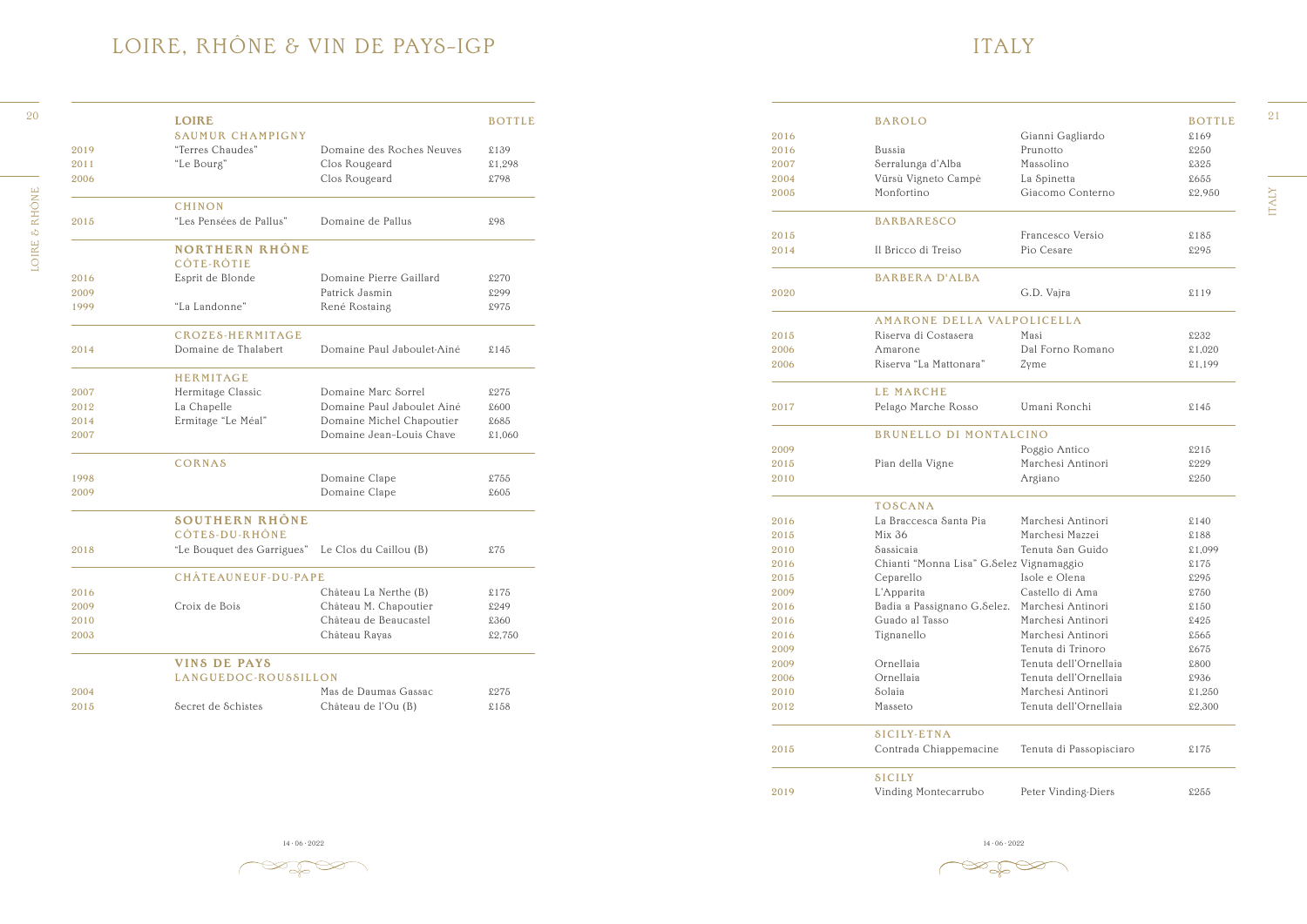### ITALY

|      | <b>LOIRE</b>                                      |                                                       | <b>BOTTLE</b> |      | <b>BAROLO</b>                                 |                         | <b>BOTTLE</b> |
|------|---------------------------------------------------|-------------------------------------------------------|---------------|------|-----------------------------------------------|-------------------------|---------------|
|      | <b>SAUMUR CHAMPIGNY</b>                           |                                                       |               | 2016 |                                               | Gianni Gagliardo        | \$169         |
| 2019 | "Terres Chaudes"                                  | Domaine des Roches Neuves                             | £139          | 2016 | Bussia                                        | Prunotto                | £250          |
| 2011 | "Le Bourg"                                        | Clos Rougeard                                         | £1,298        | 2007 | Serralunga d'Alba                             | Massolino               | £325          |
| 2006 |                                                   | Clos Rougeard                                         | £798          | 2004 | Vürsù Vigneto Campè                           | La Spinetta             | £655          |
|      |                                                   |                                                       |               | 2005 | Monfortino                                    | Giacomo Conterno        | £2,950        |
|      | <b>CHINON</b>                                     |                                                       |               |      |                                               |                         |               |
| 2015 | "Les Pensées de Pallus"                           | Domaine de Pallus                                     | £98           |      | <b>BARBARESCO</b>                             |                         |               |
|      |                                                   |                                                       |               | 2015 |                                               | Francesco Versio        | $$185$        |
|      | <b>NORTHERN RHÔNE</b><br>CÔTE-RÔTIE               |                                                       |               | 2014 | Il Bricco di Treiso                           | Pio Cesare              | £295          |
| 2016 | Esprit de Blonde                                  | Domaine Pierre Gaillard                               | £270          |      | <b>BARBERA D'ALBA</b>                         |                         |               |
| 2009 |                                                   | Patrick Jasmin                                        | £299          | 2020 |                                               | G.D. Vajra              | \$119         |
| 1999 | "La Landonne"                                     | René Rostaing                                         | £975          |      |                                               |                         |               |
|      |                                                   |                                                       |               |      | AMARONE DELLA VALPOLICELLA                    |                         |               |
|      | CROZES-HERMITAGE                                  |                                                       |               | 2015 | Riserva di Costasera                          | Masi                    | £232          |
| 2014 | Domaine de Thalabert                              | Domaine Paul Jaboulet-Aîné                            | \$145         | 2006 | Amarone                                       | Dal Forno Romano        | £1,020        |
|      |                                                   |                                                       |               | 2006 | Riserva "La Mattonara"                        | Zyme                    | £1,199        |
|      | HERMITAGE                                         |                                                       |               |      |                                               |                         |               |
| 2007 | Hermitage Classic                                 | Domaine Marc Sorrel                                   | £275          |      | LE MARCHE                                     |                         |               |
| 2012 | La Chapelle                                       | Domaine Paul Jaboulet Aîné                            | £600          | 2017 | Pelago Marche Rosso                           | Umani Ronchi            | \$145         |
| 2014 | Ermitage "Le Méal"                                | Domaine Michel Chapoutier<br>Domaine Jean-Louis Chave | £685          |      | BRUNELLO DI MONTALCINO                        |                         |               |
| 2007 |                                                   |                                                       | £1,060        | 2009 |                                               | Poggio Antico           | \$215         |
|      | <b>CORNAS</b>                                     |                                                       |               | 2015 | Pian della Vigne                              | Marchesi Antinori       | £229          |
| 1998 |                                                   | Domaine Clape                                         | £755          | 2010 |                                               | Argiano                 | £250          |
| 2009 |                                                   | Domaine Clape                                         | £605          |      |                                               |                         |               |
|      |                                                   |                                                       |               |      | <b>TOSCANA</b>                                |                         |               |
|      | <b>SOUTHERN RHÔNE</b>                             |                                                       |               | 2016 | La Braccesca Santa Pia                        | Marchesi Antinori       | \$140         |
|      | CÔTES-DU-RHÔNE                                    |                                                       |               | 2015 | Mix 36                                        | Marchesi Mazzei         | £188          |
| 2018 | "Le Bouquet des Garrigues" Le Clos du Caillou (B) |                                                       | \$75          | 2010 | Sassicaia                                     | Tenuta San Guido        | £1,099        |
|      |                                                   |                                                       |               | 2016 | Chianti "Monna Lisa" G.Selez Vignamaggio      |                         | \$175         |
|      | CHÂTEAUNEUF-DU-PAPE                               |                                                       |               | 2015 | Ceparello                                     | Isole e Olena           | £295          |
| 2016 |                                                   | Château La Nerthe (B)                                 | \$175         | 2009 | L'Apparita                                    | Castello di Ama         | £750          |
| 2009 | Croix de Bois                                     | Château M. Chapoutier                                 | £249          | 2016 | Badia a Passignano G.Selez. Marchesi Antinori |                         | $\pounds150$  |
| 2010 |                                                   | Château de Beaucastel                                 | £360          | 2016 | Guado al Tasso                                | Marchesi Antinori       | \$425         |
| 2003 |                                                   | Château Rayas                                         | £2,750        | 2016 | Tignanello                                    | Marchesi Antinori       | £565          |
|      |                                                   |                                                       |               | 2009 |                                               | Tenuta di Trinoro       | £675          |
|      | VINS DE PAYS                                      |                                                       |               | 2009 | Ornellaia                                     | Tenuta dell'Ornellaia   | £800          |
|      | LANGUEDOC-ROUSSILLON                              |                                                       |               | 2006 | Ornellaia                                     | Tenuta dell'Ornellaia   | £936          |
| 2004 |                                                   | Mas de Daumas Gassac                                  | £275          | 2010 | Solaia                                        | Marchesi Antinori       | £1,250        |
| 2015 | Secret de Schistes                                | Château de l'Ou (B)                                   | $$158$        | 2012 | Masseto                                       | Tenuta dell'Ornellaia   | £2,300        |
|      |                                                   |                                                       |               |      |                                               |                         |               |
|      |                                                   |                                                       |               |      | <b>SICILY-ETNA</b>                            |                         |               |
|      |                                                   |                                                       |               | 2015 | Contrada Chiappemacine                        | Tenuta di Passopisciaro | \$175         |
|      |                                                   |                                                       |               |      | SICILY                                        |                         |               |
|      |                                                   |                                                       |               | 2019 |                                               | Peter Vinding-Diers     | £255          |
|      |                                                   |                                                       |               |      | Vinding Montecarrubo                          |                         |               |

14 · 06 · 2022 14 · 06 · 2022 14 · 06 · 2022 14 · 06 · 2022 14 · 06 · 2022 14 · 06 · 2022 14 · 06 · 2022 14 · 06 · 2022 14 · 06 · 2022 14 · 06 · 2022 14 · 06 · 2022 14 · 06 · 2022 14 · 06 · 2022 14 · 06 · 2022 14 · 06 · 20

 $\gg \gg \approx$ 

ITALY

**PRE** 

# LOIRE, RHÔNE & VIN DE PAYS–IGP

|      | <b>LOIRE</b>                                      |                            | <b>BOTTLE</b> |
|------|---------------------------------------------------|----------------------------|---------------|
|      | <b>SAUMUR CHAMPIGNY</b>                           |                            |               |
| 2019 | "Terres Chaudes"                                  | Domaine des Roches Neuves  | £139          |
| 2011 | "Le Bourg"                                        | Clos Rougeard              | £1,298        |
| 2006 |                                                   | Clos Rougeard              | £798          |
|      | <b>CHINON</b>                                     |                            |               |
| 2015 | "Les Pensées de Pallus"                           | Domaine de Pallus          | £98           |
|      | <b>NORTHERN RHÔNE</b><br>CÔTE-RÔTIE               |                            |               |
| 2016 | Esprit de Blonde                                  | Domaine Pierre Gaillard    | £270          |
| 2009 |                                                   | Patrick Jasmin             | £299          |
| 1999 | "La Landonne"                                     | René Rostaing              | £975          |
|      | CROZES-HERMITAGE                                  |                            |               |
| 2014 | Domaine de Thalabert                              | Domaine Paul Jaboulet-Ainé | \$145         |
|      | <b>HERMITAGE</b>                                  |                            |               |
| 2007 | Hermitage Classic                                 | Domaine Marc Sorrel        | £275          |
| 2012 | La Chapelle                                       | Domaine Paul Jaboulet Aîné | £600          |
| 2014 | Ermitage "Le Méal"                                | Domaine Michel Chapoutier  | £685          |
| 2007 |                                                   | Domaine Jean-Louis Chave   | £1,060        |
|      | CORNAS                                            |                            |               |
| 1998 |                                                   | Domaine Clape              | £755          |
| 2009 |                                                   | Domaine Clape              | £605          |
|      | <b>SOUTHERN RHÔNE</b>                             |                            |               |
|      | CÔTES-DU-RHÔNE                                    |                            |               |
| 2018 | "Le Bouquet des Garrigues" Le Clos du Caillou (B) |                            | £75           |
|      | <b>CHÂTEAUNEUF-DU-PAPE</b>                        |                            |               |
| 2016 |                                                   | Château La Nerthe (B)      | £175          |
| 2009 | Croix de Bois                                     | Château M. Chapoutier      | £249          |
| 2010 |                                                   | Château de Beaucastel      | £360          |
| 2003 |                                                   | Château Rayas              | £2,750        |
|      | <b>VINS DE PAYS</b>                               |                            |               |
|      | LANGUEDOC-ROUSSILLON                              |                            |               |
| 2004 |                                                   | Mas de Daumas Gassac       | £275          |
| 2015 | Secret de Schistes                                | Château de l'Ou (B)        | £158          |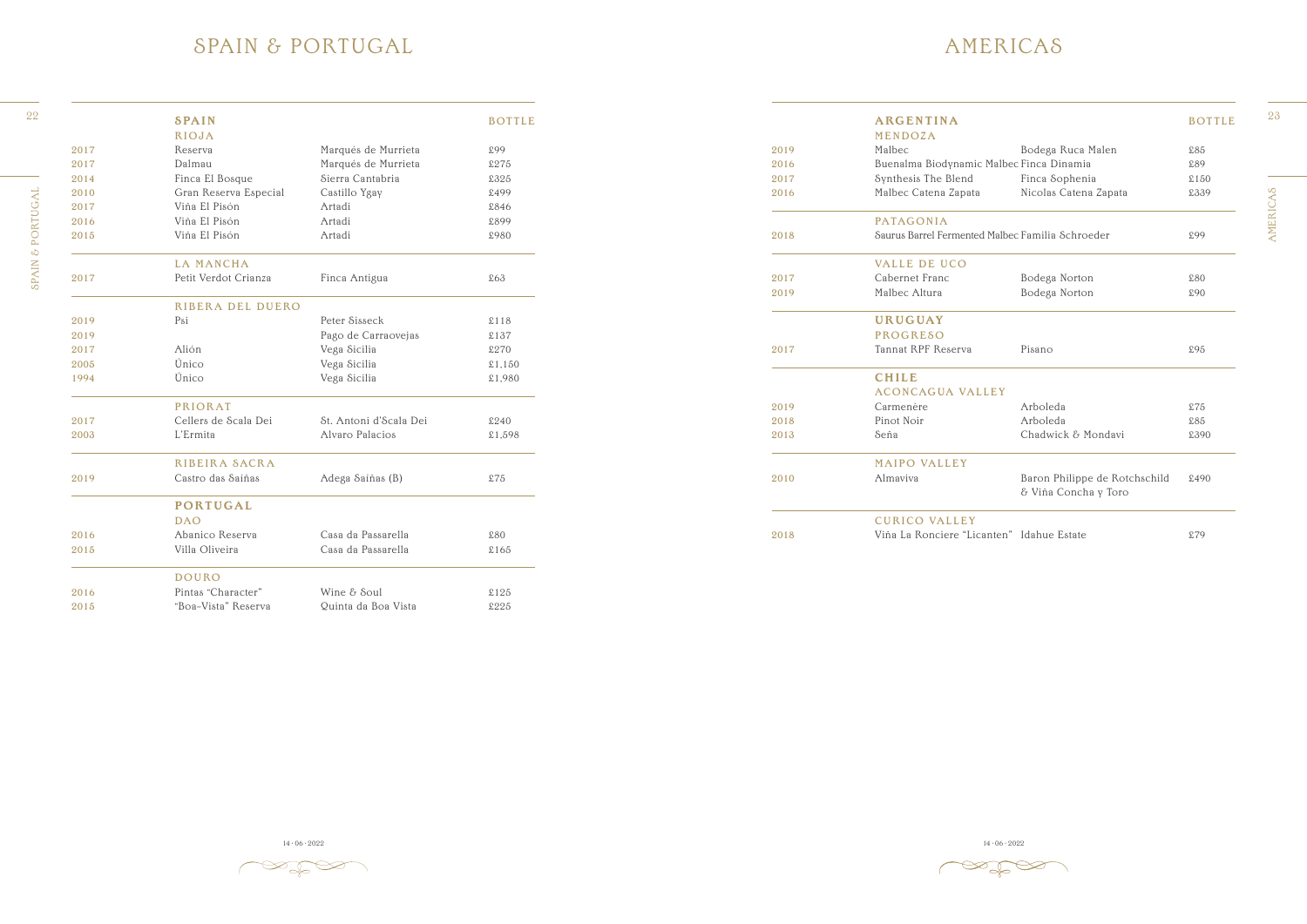AMERICAS AMERICAS

14 · 06 · 2022 14 · 06 · 2022 14 · 06 · 2022 14 · 06 · 2022 14 · 06 · 2022 14 · 06 · 2022 14 · 06 · 2022 14 · 06 · 2022 14 · 06 · 2022 14 · 06 · 2022 14 · 06 · 2022 14 · 06 · 2022 14 · 06 · 2022 14 · 06 · 2022 14 · 06 · 20



### AMERICAS

| 22       |      | <b>SPAIN</b>          |                        | <b>BOTTLE</b> |      | <b>ARGENTINA</b>                                 |                                                       | <b>BOTTLE</b> |
|----------|------|-----------------------|------------------------|---------------|------|--------------------------------------------------|-------------------------------------------------------|---------------|
|          |      | <b>RIOJA</b>          |                        |               |      | MENDOZA                                          |                                                       |               |
|          | 2017 | Reserva               | Marqués de Murrieta    | £99           | 2019 | Malbec                                           | Bodega Ruca Malen                                     | £85           |
|          | 2017 | Dalmau                | Marqués de Murrieta    | £275          | 2016 | Buenalma Biodynamic Malbec Finca Dinamia         |                                                       | £89           |
|          | 2014 | Finca El Bosque       | Sierra Cantabria       | £325          | 2017 | Synthesis The Blend                              | Finca Sophenia                                        | $\pounds150$  |
|          | 2010 | Gran Reserva Especial | Castillo Ygay          | £499          | 2016 | Malbec Catena Zapata                             | Nicolas Catena Zapata                                 | £339          |
|          | 2017 | Viña El Pisón         | Artadi                 | £846          |      |                                                  |                                                       |               |
|          | 2016 | Viña El Pisón         | Artadi                 | £899          |      | PATAGONIA                                        |                                                       |               |
| PORTUGAL | 2015 | Viña El Pisón         | Artadi                 | £980          | 2018 | Saurus Barrel Fermented Malbec Familia Schroeder |                                                       | £99           |
| $\infty$ |      | <b>LA MANCHA</b>      |                        |               |      | <b>VALLE DE UCO</b>                              |                                                       |               |
| SPAIN    | 2017 | Petit Verdot Crianza  | Finca Antigua          | £63           | 2017 | Cabernet Franc                                   | Bodega Norton                                         | £80           |
|          |      |                       |                        |               | 2019 | Malbec Altura                                    | Bodega Norton                                         | £90           |
|          |      | RIBERA DEL DUERO      |                        |               |      |                                                  |                                                       |               |
|          | 2019 | Psi                   | Peter Sisseck          | \$118         |      | <b>URUGUAY</b>                                   |                                                       |               |
|          | 2019 |                       | Pago de Carraovejas    | £137          |      | <b>PROGRESO</b>                                  |                                                       |               |
|          | 2017 | Alión                 | Vega Sicilia           | £270          | 2017 | Tannat RPF Reserva                               | Pisano                                                | £95           |
|          | 2005 | Único                 | Vega Sicilia           | \$1,150       |      |                                                  |                                                       |               |
|          | 1994 | Único                 | Vega Sicilia           | £1,980        |      | <b>CHILE</b>                                     |                                                       |               |
|          |      |                       |                        |               |      | <b>ACONCAGUA VALLEY</b>                          |                                                       |               |
|          |      | <b>PRIORAT</b>        |                        |               | 2019 | Carmenère                                        | Arboleda                                              | \$75          |
|          | 2017 | Cellers de Scala Dei  | St. Antoni d'Scala Dei | £240          | 2018 | Pinot Noir                                       | Arboleda                                              | $$85$         |
|          | 2003 | L'Ermita              | Alvaro Palacios        | £1,598        | 2013 | Seña                                             | Chadwick & Mondavi                                    | £390          |
|          |      | <b>RIBEIRA SACRA</b>  |                        |               |      | <b>MAIPO VALLEY</b>                              |                                                       |               |
|          | 2019 | Castro das Saíñas     | Adega Saíñas (B)       | \$75          | 2010 | Almaviva                                         | Baron Philippe de Rotchschild<br>& Viña Concha y Toro | £490          |
|          |      | <b>PORTUGAL</b>       |                        |               |      |                                                  |                                                       |               |
|          |      | <b>DAO</b>            |                        |               |      | <b>CURICO VALLEY</b>                             |                                                       |               |
|          | 2016 | Abanico Reserva       | Casa da Passarella     | £80           | 2018 | Viña La Ronciere "Licanten" Idahue Estate        |                                                       | £79           |
|          |      |                       |                        |               |      |                                                  |                                                       |               |

 $\mathbb{Z}$ 

#### SPAIN & PORTUGAL

SPAIN & PORTUGAL SPAIN & PORTUGAL

|      | <b>SPAIN</b>          |                        | <b>BOTTLE</b> |
|------|-----------------------|------------------------|---------------|
|      | <b>RIOJA</b>          |                        |               |
| 2017 | Reserva               | Marqués de Murrieta    | £99           |
| 2017 | Dalmau                | Marqués de Murrieta    | £275          |
| 2014 | Finca El Bosque       | Sierra Cantabria       | £325          |
| 2010 | Gran Reserva Especial | Castillo Ygay          | £499          |
| 2017 | Viña El Pisón         | Artadi                 | £846          |
| 2016 | Viña El Pisón         | Artadi                 | £899          |
| 2015 | Viña El Pisón         | Artadi                 | £980          |
|      | <b>LA MANCHA</b>      |                        |               |
| 2017 | Petit Verdot Crianza  | Finca Antigua          | £63           |
|      | RIBERA DEL DUERO      |                        |               |
| 2019 | Psi                   | Peter Sisseck          | \$118         |
| 2019 |                       | Pago de Carraovejas    | £137          |
| 2017 | Alión                 | Vega Sicilia           | £270          |
| 2005 | Único                 | Vega Sicilia           | \$1,150       |
| 1994 | Único                 | Vega Sicilia           | £1,980        |
|      | <b>PRIORAT</b>        |                        |               |
| 2017 | Cellers de Scala Dei  | St. Antoni d'Scala Dei | £240          |
| 2003 | L'Ermita              | Alvaro Palacios        | £1,598        |
|      | RIBEIRA SACRA         |                        |               |
| 2019 | Castro das Saíñas     | Adega Saíñas (B)       | \$75          |
|      | <b>PORTUGAL</b>       |                        |               |
|      | <b>DAO</b>            |                        |               |
| 2016 | Abanico Reserva       | Casa da Passarella     | £80           |
| 2015 | Villa Oliveira        | Casa da Passarella     | £165          |
|      | <b>DOURO</b>          |                        |               |
| 2016 | Pintas "Character"    | Wine & Soul            | £125          |
| 2015 | "Boa-Vista" Reserva   | Quinta da Boa Vista    | £225          |
|      |                       |                        |               |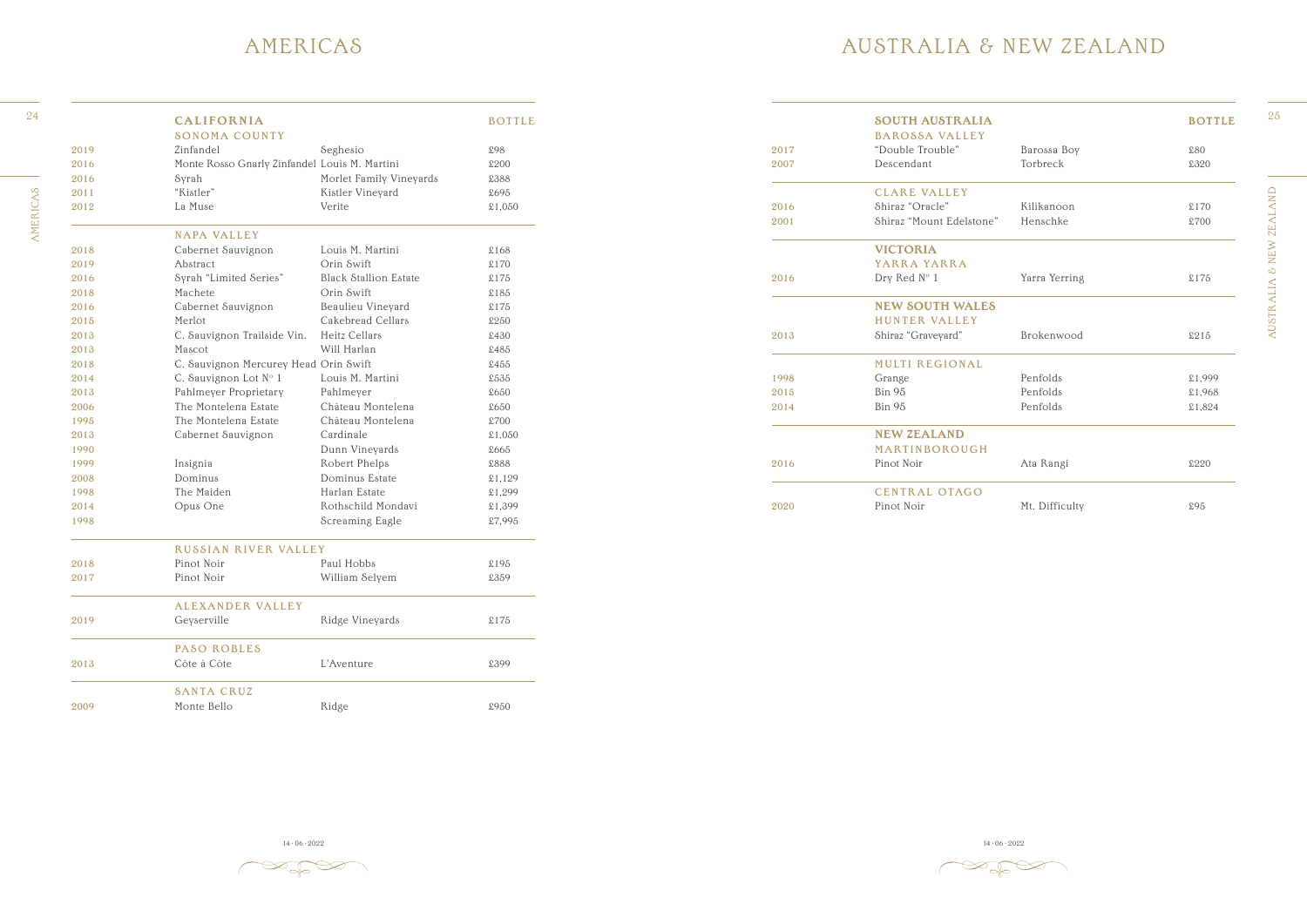AUSTRALIA & NEW ZEALAND AUSTRALIA & NEW ZEALAND



### AUSTRALIA & NEW ZEALAND

|      | <b>SOUTH AUSTRALIA</b>   |                | <b>BOTTLE</b> |
|------|--------------------------|----------------|---------------|
|      | <b>BAROSSA VALLEY</b>    |                |               |
| 2017 | "Double Trouble"         | Barossa Boy    | £80           |
| 2007 | Descendant               | Torbreck       | £320          |
|      | <b>CLARE VALLEY</b>      |                |               |
| 2016 | Shiraz "Oracle"          | Kilikanoon     | \$170         |
| 2001 | Shiraz "Mount Edelstone" | Henschke       | £700          |
|      | <b>VICTORIA</b>          |                |               |
|      | YARRA YARRA              |                |               |
| 2016 | Dry Red N° 1             | Yarra Yerring  | £175          |
|      | <b>NEW SOUTH WALES</b>   |                |               |
|      | <b>HUNTER VALLEY</b>     |                |               |
| 2013 | Shiraz "Graveyard"       | Brokenwood     | £215          |
|      | <b>MULTI REGIONAL</b>    |                |               |
| 1998 | Grange                   | Penfolds       | £1,999        |
| 2015 | <b>Bin 95</b>            | Penfolds       | £1,968        |
| 2014 | <b>Bin 95</b>            | Penfolds       | £1,824        |
|      | <b>NEW ZEALAND</b>       |                |               |
|      | MARTINBOROUGH            |                |               |
| 2016 | Pinot Noir               | Ata Rangi      | £220          |
|      | <b>CENTRAL OTAGO</b>     |                |               |
| 2020 | Pinot Noir               | Mt. Difficulty | £95           |

14 · 06 · 2022 14 · 06 · 2022 14 · 06 · 2022 14 · 06 · 2022 14 · 06 · 2022 14 · 06 · 2022 14 · 06 · 2022 14 · 06 · 2022 14 · 06 · 2022 14 · 06 · 2022 14 · 06 · 2022 14 · 06 · 2022 14 · 06 · 2022 14 · 06 · 2022 14 · 06 · 20

 $\mathbb{Z}$ 

### AMERICAS

|      | <b>CALIFORNIA</b>                             |                              | <b>BOTTLE</b> |      | <b>SOUTH AUSTRALIA</b>   |                | <b>BOTTLE</b> |
|------|-----------------------------------------------|------------------------------|---------------|------|--------------------------|----------------|---------------|
|      | <b>SONOMA COUNTY</b>                          |                              |               |      | <b>BAROSSA VALLEY</b>    |                |               |
| 2019 | Zinfandel                                     | Seghesio                     | £98           | 2017 | "Double Trouble"         | Barossa Boy    | £80           |
| 2016 | Monte Rosso Gnarly Zinfandel Louis M. Martini |                              | £200          | 2007 | Descendant               | Torbreck       | £320          |
| 2016 | Syrah                                         | Morlet Family Vineyards      | £388          |      |                          |                |               |
| 2011 | "Kistler"                                     | Kistler Vineyard             | £695          |      | <b>CLARE VALLEY</b>      |                |               |
| 2012 | La Muse                                       | Verite                       | £1,050        | 2016 | Shiraz "Oracle"          | Kilikanoon     | \$170         |
|      |                                               |                              |               | 2001 | Shiraz "Mount Edelstone" | Henschke       | £700          |
|      | <b>NAPA VALLEY</b>                            |                              |               |      |                          |                |               |
| 2018 | Cabernet Sauvignon                            | Louis M. Martini             | £168          |      | <b>VICTORIA</b>          |                |               |
| 2019 | Abstract                                      | Orin Swift                   | \$170         |      | YARRA YARRA              |                |               |
| 2016 | Syrah "Limited Series"                        | <b>Black Stallion Estate</b> | \$175         | 2016 | Dry Red N° 1             | Yarra Yerring  | \$175         |
| 2018 | Machete                                       | Orin Swift                   | $\pounds185$  |      |                          |                |               |
| 2016 | Cabernet Sauvignon                            | Beaulieu Vineyard            | $\pounds175$  |      | <b>NEW SOUTH WALES</b>   |                |               |
| 2015 | Merlot                                        | Cakebread Cellars            | £250          |      | HUNTER VALLEY            |                |               |
| 2013 | C. Sauvignon Trailside Vin.                   | Heitz Cellars                | £430          | 2013 | Shiraz "Graveyard"       | Brokenwood     | \$215         |
| 2013 | Mascot                                        | Will Harlan                  | £485          |      |                          |                |               |
| 2018 | C. Sauvignon Mercurey Head Orin Swift         |                              | £455          |      | <b>MULTI REGIONAL</b>    |                |               |
| 2014 | C. Sauvignon Lot N° 1                         | Louis M. Martini             | £535          | 1998 | Grange                   | Penfolds       | £1,999        |
| 2013 | Pahlmeyer Proprietary                         | Pahlmeyer                    | £650          | 2015 | <b>Bin 95</b>            | Penfolds       | £1,968        |
| 2006 | The Montelena Estate                          | Château Montelena            | £650          | 2014 | Bin 95                   | Penfolds       | £1,824        |
| 1995 | The Montelena Estate                          | Château Montelena            | £700          |      |                          |                |               |
| 2013 | Cabernet Sauvignon                            | Cardinale                    | £1,050        |      | <b>NEW ZEALAND</b>       |                |               |
| 1990 |                                               | Dunn Vineyards               | £665          |      | MARTINBOROUGH            |                |               |
| 1999 | Insignia                                      | Robert Phelps                | £888          | 2016 | Pinot Noir               | Ata Rangi      | £220          |
| 2008 | Dominus                                       | Dominus Estate               | \$1,129       |      |                          |                |               |
| 1998 | The Maiden                                    | Harlan Estate                | £1,299        |      | <b>CENTRAL OTAGO</b>     |                |               |
| 2014 | Opus One                                      | Rothschild Mondavi           | £1,399        | 2020 | Pinot Noir               | Mt. Difficulty | £95           |
| 1998 |                                               | Screaming Eagle              | £7,995        |      |                          |                |               |
|      | <b>RUSSIAN RIVER VALLEY</b>                   |                              |               |      |                          |                |               |
| 2018 | Pinot Noir                                    | Paul Hobbs                   | £195          |      |                          |                |               |
| 2017 | Pinot Noir                                    | William Selyem               | £359          |      |                          |                |               |
|      | ALEXANDER VALLEY                              |                              |               |      |                          |                |               |
| 2019 | Geyserville                                   | Ridge Vineyards              | $\pounds175$  |      |                          |                |               |
|      | PASO ROBLES                                   |                              |               |      |                          |                |               |
| 2013 | Côte à Côte                                   | L'Aventure                   | £399          |      |                          |                |               |
|      | <b>SANTA CRUZ</b>                             |                              |               |      |                          |                |               |
| 2009 | Monte Bello                                   | Ridge                        | £950          |      |                          |                |               |